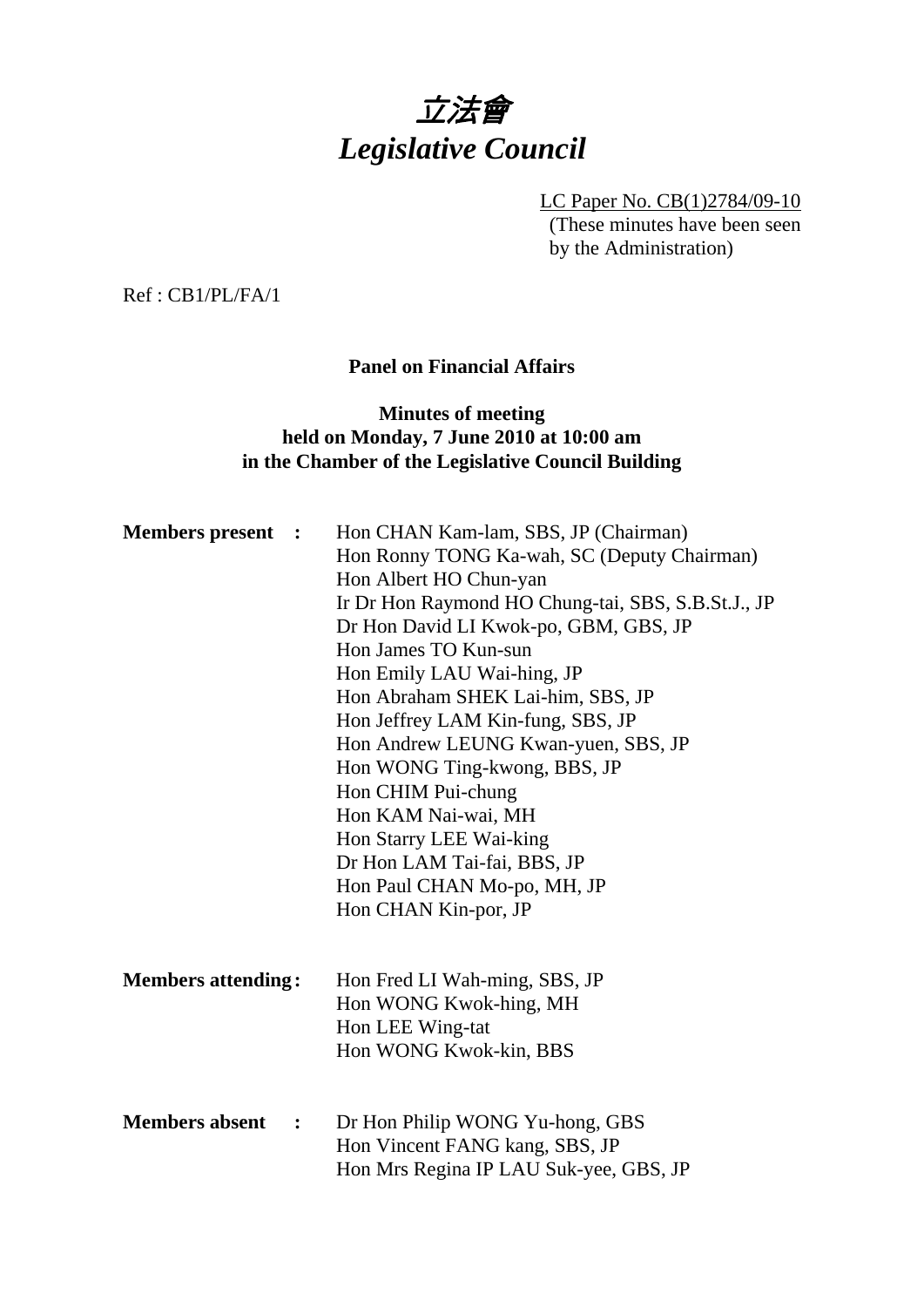

LC Paper No. CB(1)2784/09-10 (These minutes have been seen by the Administration)

Ref : CB1/PL/FA/1

# **Panel on Financial Affairs**

## **Minutes of meeting held on Monday, 7 June 2010 at 10:00 am in the Chamber of the Legislative Council Building**

| <b>Members</b> present<br>$\ddot{\phantom{1}}$ |  | Hon CHAN Kam-lam, SBS, JP (Chairman)<br>Hon Ronny TONG Ka-wah, SC (Deputy Chairman)<br>Hon Albert HO Chun-yan<br>Ir Dr Hon Raymond HO Chung-tai, SBS, S.B.St.J., JP |
|------------------------------------------------|--|---------------------------------------------------------------------------------------------------------------------------------------------------------------------|
|                                                |  | Dr Hon David LI Kwok-po, GBM, GBS, JP<br>Hon James TO Kun-sun                                                                                                       |
|                                                |  | Hon Emily LAU Wai-hing, JP<br>Hon Abraham SHEK Lai-him, SBS, JP                                                                                                     |
|                                                |  | Hon Jeffrey LAM Kin-fung, SBS, JP<br>Hon Andrew LEUNG Kwan-yuen, SBS, JP<br>Hon WONG Ting-kwong, BBS, JP                                                            |
|                                                |  | Hon CHIM Pui-chung<br>Hon KAM Nai-wai, MH                                                                                                                           |
|                                                |  | Hon Starry LEE Wai-king<br>Dr Hon LAM Tai-fai, BBS, JP                                                                                                              |
|                                                |  | Hon Paul CHAN Mo-po, MH, JP<br>Hon CHAN Kin-por, JP                                                                                                                 |
|                                                |  |                                                                                                                                                                     |
| <b>Members attending:</b>                      |  | Hon Fred LI Wah-ming, SBS, JP<br>Hon WONG Kwok-hing, MH                                                                                                             |
|                                                |  | Hon LEE Wing-tat<br>Hon WONG Kwok-kin, BBS                                                                                                                          |
| <b>Members absent</b><br>$\cdot$               |  | Dr Hon Philip WONG Yu-hong, GBS<br>Hon Vincent FANG kang, SBS, JP<br>Hon Mrs Regina IP LAU Suk-yee, GBS, JP                                                         |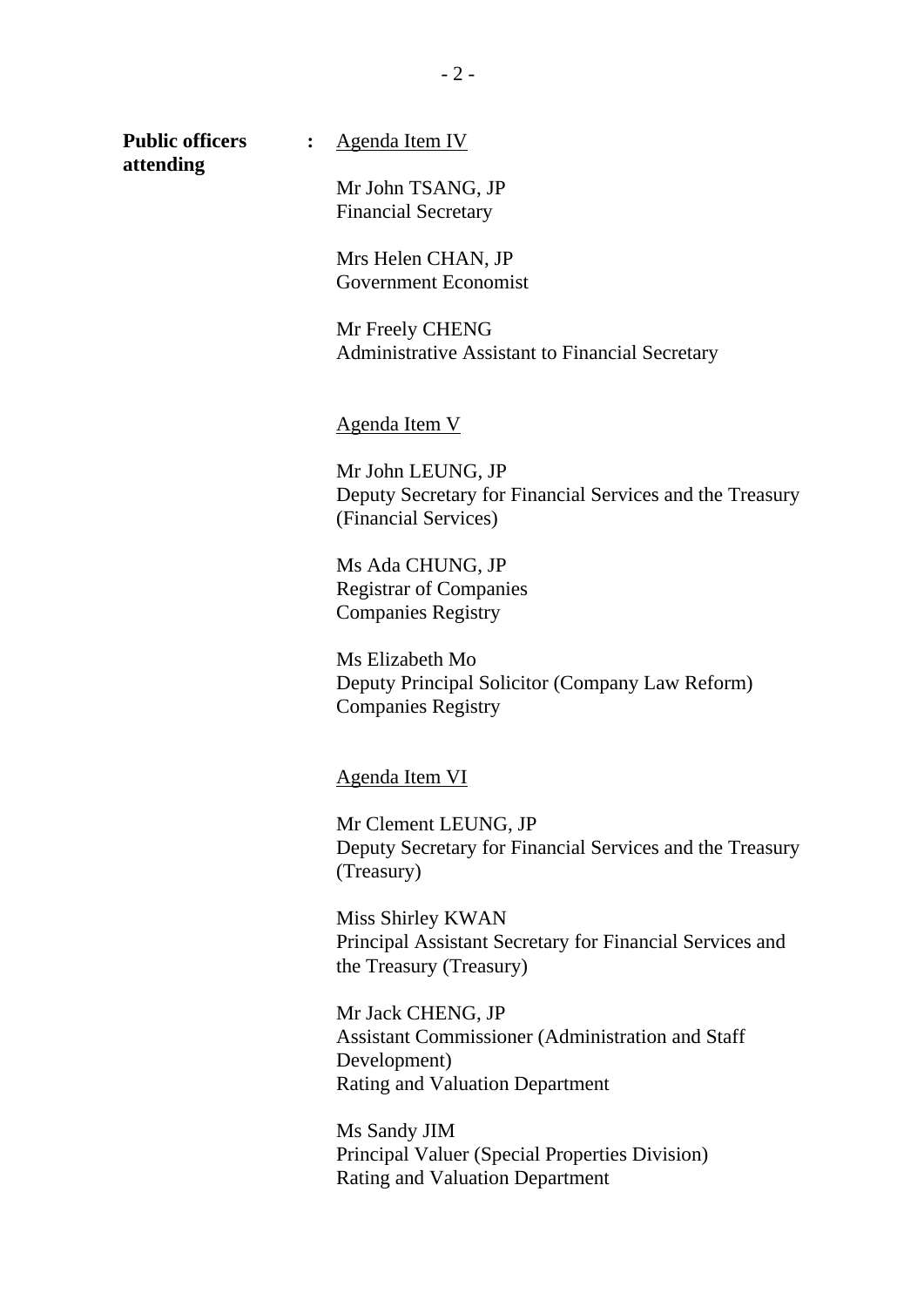**attending** 

**Public officers :** Agenda Item IV

Mr John TSANG, JP Financial Secretary

Mrs Helen CHAN, JP Government Economist

Mr Freely CHENG Administrative Assistant to Financial Secretary

Agenda Item V

Mr John LEUNG, JP Deputy Secretary for Financial Services and the Treasury (Financial Services)

Ms Ada CHUNG, JP Registrar of Companies Companies Registry

Ms Elizabeth Mo Deputy Principal Solicitor (Company Law Reform) Companies Registry

Agenda Item VI

Mr Clement LEUNG, JP Deputy Secretary for Financial Services and the Treasury (Treasury)

Miss Shirley KWAN Principal Assistant Secretary for Financial Services and the Treasury (Treasury)

Mr Jack CHENG, JP Assistant Commissioner (Administration and Staff Development) Rating and Valuation Department

Ms Sandy JIM Principal Valuer (Special Properties Division) Rating and Valuation Department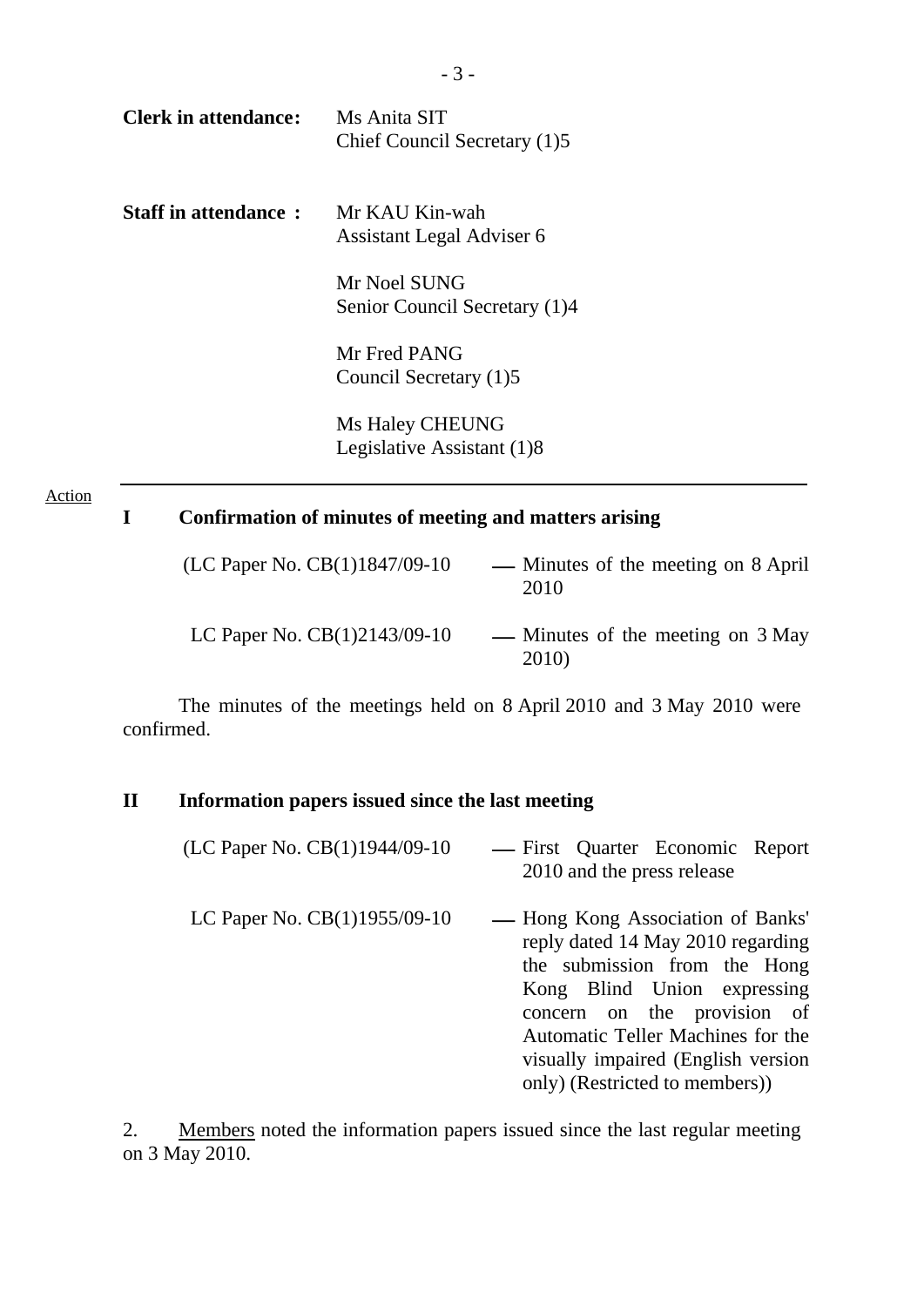| <b>Clerk in attendance:</b> | Ms Anita SIT<br>Chief Council Secretary (1)5                                                           |
|-----------------------------|--------------------------------------------------------------------------------------------------------|
| <b>Staff in attendance:</b> | Mr KAU Kin-wah<br>Assistant Legal Adviser 6                                                            |
|                             | Mr Noel SUNG<br>Senior Council Secretary (1)4                                                          |
|                             | Mr Fred PANG<br>Council Secretary (1)5                                                                 |
|                             | Ms Haley CHEUNG<br>Legislative Assistant (1)8                                                          |
| I                           | Confirmation of minutes of meeting and matters arising                                                 |
|                             | (LC Paper No. CB(1)1847/09-10<br>Minutes of the meeting on 8 April<br>$\overline{\phantom{0}}$<br>2010 |

LC Paper No.  $CB(1)2143/09-10$  — Minutes of the meeting on 3 May 2010)

 The minutes of the meetings held on 8 April 2010 and 3 May 2010 were confirmed.

## **II Information papers issued since the last meeting**

Action

| (LC Paper No. CB(1)1944/09-10 | — First Quarter Economic Report<br>2010 and the press release                                                                                                                                                                                                                      |
|-------------------------------|------------------------------------------------------------------------------------------------------------------------------------------------------------------------------------------------------------------------------------------------------------------------------------|
| LC Paper No. CB(1)1955/09-10  | — Hong Kong Association of Banks'<br>reply dated 14 May 2010 regarding<br>the submission from the Hong<br>Kong Blind Union expressing<br>concern on the provision of<br>Automatic Teller Machines for the<br>visually impaired (English version)<br>only) (Restricted to members)) |

2. Members noted the information papers issued since the last regular meeting on 3 May 2010.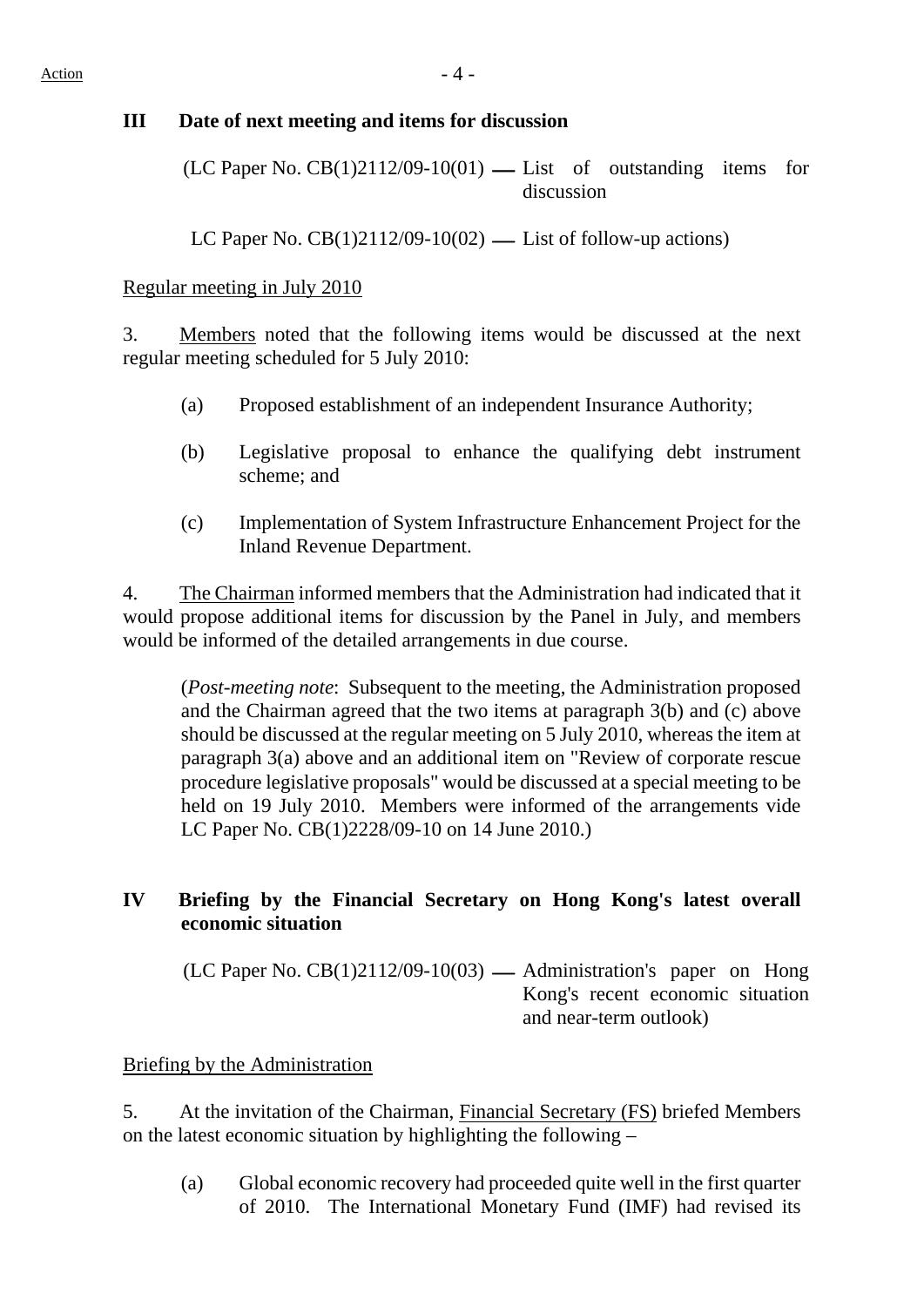#### **III Date of next meeting and items for discussion**

 $(LC$  Paper No.  $CB(1)2112/09-10(01)$  — List of outstanding items for discussion

LC Paper No.  $CB(1)2112/09-10(02)$  — List of follow-up actions)

#### Regular meeting in July 2010

3. Members noted that the following items would be discussed at the next regular meeting scheduled for 5 July 2010:

- (a) Proposed establishment of an independent Insurance Authority;
- (b) Legislative proposal to enhance the qualifying debt instrument scheme; and
- (c) Implementation of System Infrastructure Enhancement Project for the Inland Revenue Department.

4. The Chairman informed members that the Administration had indicated that it would propose additional items for discussion by the Panel in July, and members would be informed of the detailed arrangements in due course.

(*Post-meeting note*: Subsequent to the meeting, the Administration proposed and the Chairman agreed that the two items at paragraph 3(b) and (c) above should be discussed at the regular meeting on 5 July 2010, whereas the item at paragraph 3(a) above and an additional item on "Review of corporate rescue procedure legislative proposals" would be discussed at a special meeting to be held on 19 July 2010. Members were informed of the arrangements vide LC Paper No. CB(1)2228/09-10 on 14 June 2010.)

## **IV Briefing by the Financial Secretary on Hong Kong's latest overall economic situation**

 $(LC$  Paper No.  $CB(1)2112/09-10(03)$  — Administration's paper on Hong Kong's recent economic situation and near-term outlook)

#### Briefing by the Administration

5. At the invitation of the Chairman, Financial Secretary (FS) briefed Members on the latest economic situation by highlighting the following –

(a) Global economic recovery had proceeded quite well in the first quarter of 2010. The International Monetary Fund (IMF) had revised its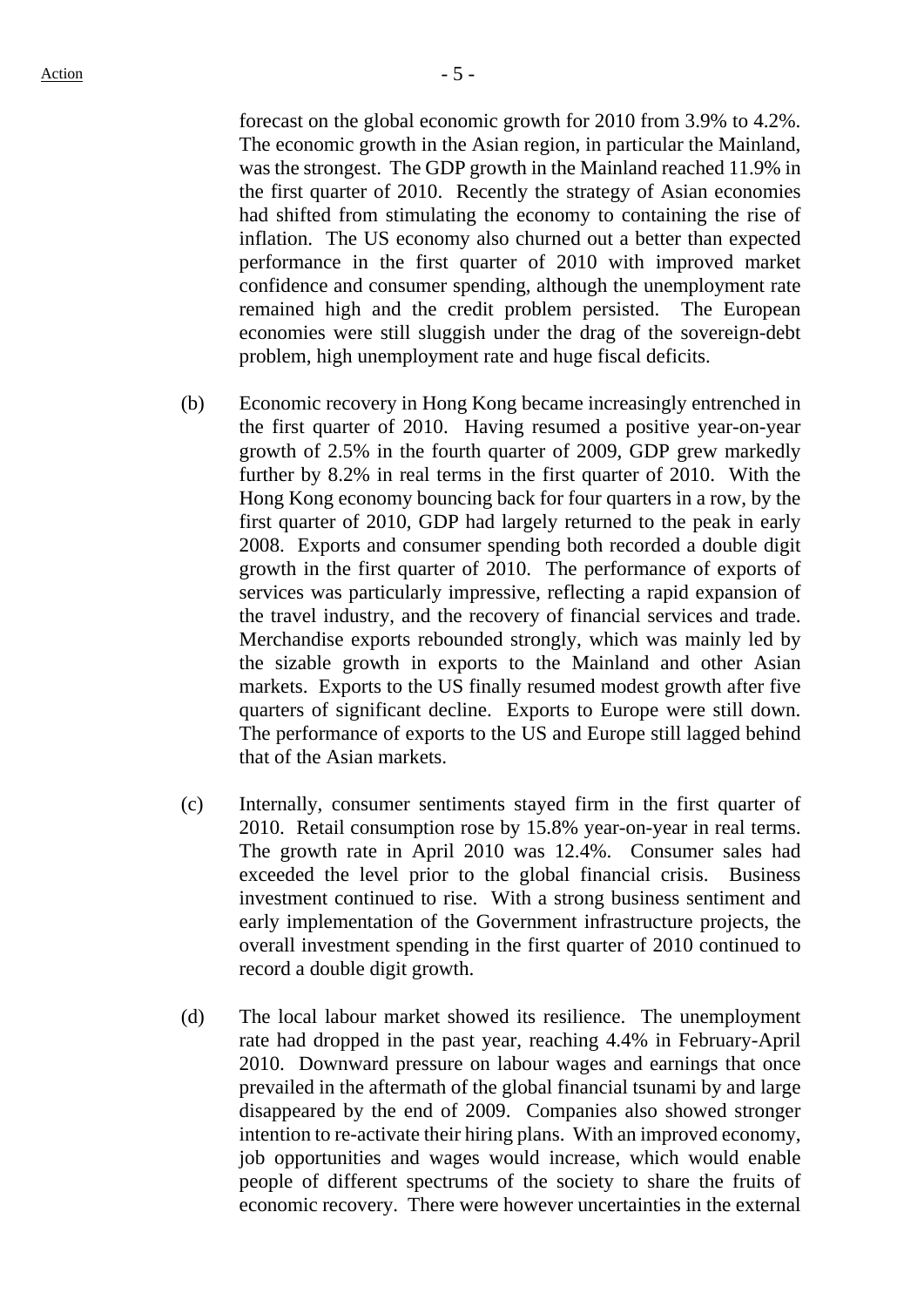forecast on the global economic growth for 2010 from 3.9% to 4.2%. The economic growth in the Asian region, in particular the Mainland, was the strongest. The GDP growth in the Mainland reached 11.9% in the first quarter of 2010. Recently the strategy of Asian economies had shifted from stimulating the economy to containing the rise of inflation. The US economy also churned out a better than expected performance in the first quarter of 2010 with improved market confidence and consumer spending, although the unemployment rate remained high and the credit problem persisted. The European economies were still sluggish under the drag of the sovereign-debt problem, high unemployment rate and huge fiscal deficits.

- (b) Economic recovery in Hong Kong became increasingly entrenched in the first quarter of 2010. Having resumed a positive year-on-year growth of 2.5% in the fourth quarter of 2009, GDP grew markedly further by 8.2% in real terms in the first quarter of 2010. With the Hong Kong economy bouncing back for four quarters in a row, by the first quarter of 2010, GDP had largely returned to the peak in early 2008. Exports and consumer spending both recorded a double digit growth in the first quarter of 2010. The performance of exports of services was particularly impressive, reflecting a rapid expansion of the travel industry, and the recovery of financial services and trade. Merchandise exports rebounded strongly, which was mainly led by the sizable growth in exports to the Mainland and other Asian markets. Exports to the US finally resumed modest growth after five quarters of significant decline. Exports to Europe were still down. The performance of exports to the US and Europe still lagged behind that of the Asian markets.
- (c) Internally, consumer sentiments stayed firm in the first quarter of 2010. Retail consumption rose by 15.8% year-on-year in real terms. The growth rate in April 2010 was 12.4%. Consumer sales had exceeded the level prior to the global financial crisis. Business investment continued to rise. With a strong business sentiment and early implementation of the Government infrastructure projects, the overall investment spending in the first quarter of 2010 continued to record a double digit growth.
- (d) The local labour market showed its resilience. The unemployment rate had dropped in the past year, reaching 4.4% in February-April 2010. Downward pressure on labour wages and earnings that once prevailed in the aftermath of the global financial tsunami by and large disappeared by the end of 2009. Companies also showed stronger intention to re-activate their hiring plans. With an improved economy, job opportunities and wages would increase, which would enable people of different spectrums of the society to share the fruits of economic recovery. There were however uncertainties in the external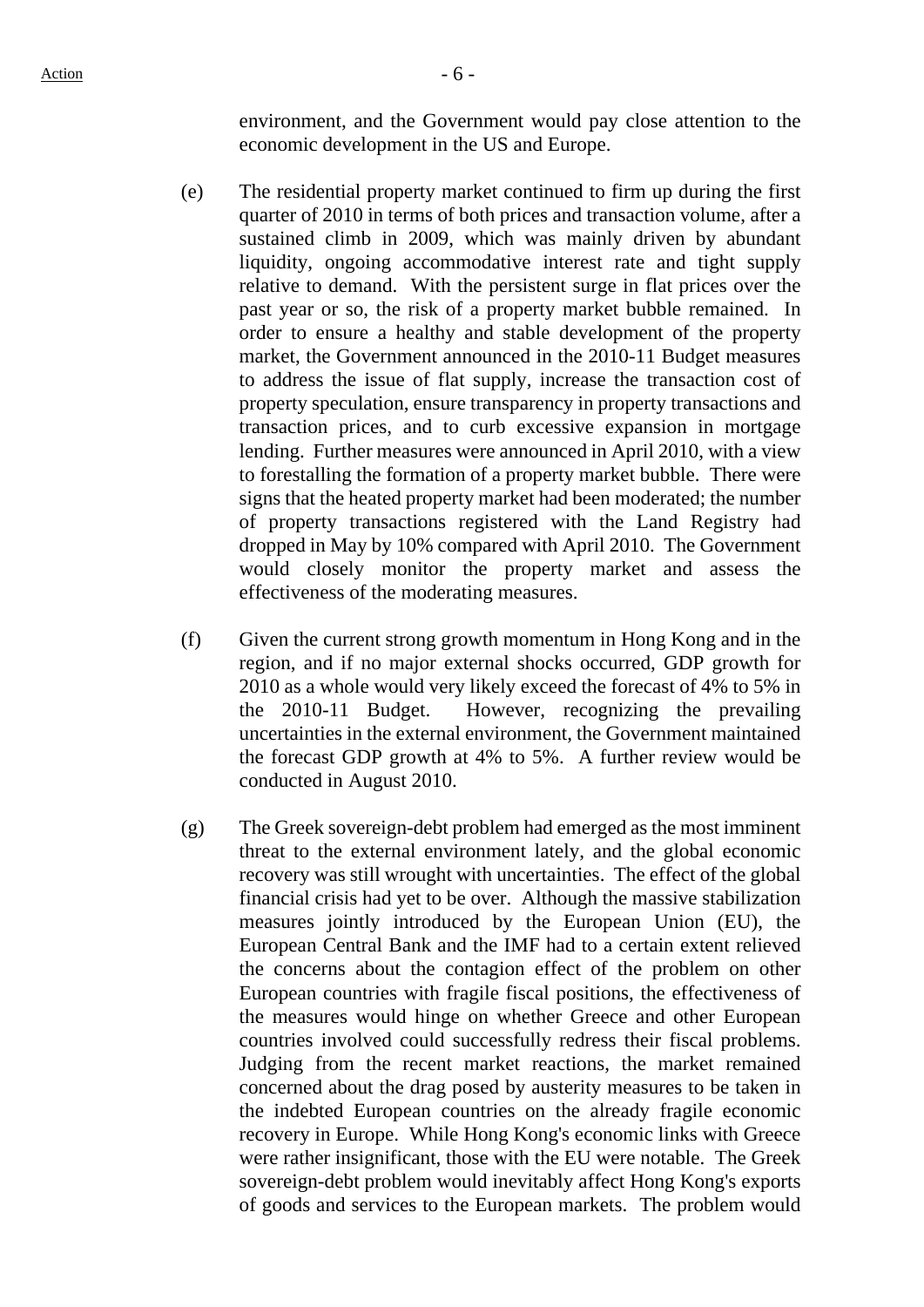environment, and the Government would pay close attention to the economic development in the US and Europe.

- (e) The residential property market continued to firm up during the first quarter of 2010 in terms of both prices and transaction volume, after a sustained climb in 2009, which was mainly driven by abundant liquidity, ongoing accommodative interest rate and tight supply relative to demand. With the persistent surge in flat prices over the past year or so, the risk of a property market bubble remained. In order to ensure a healthy and stable development of the property market, the Government announced in the 2010-11 Budget measures to address the issue of flat supply, increase the transaction cost of property speculation, ensure transparency in property transactions and transaction prices, and to curb excessive expansion in mortgage lending. Further measures were announced in April 2010, with a view to forestalling the formation of a property market bubble. There were signs that the heated property market had been moderated; the number of property transactions registered with the Land Registry had dropped in May by 10% compared with April 2010. The Government would closely monitor the property market and assess the effectiveness of the moderating measures.
- (f) Given the current strong growth momentum in Hong Kong and in the region, and if no major external shocks occurred, GDP growth for 2010 as a whole would very likely exceed the forecast of 4% to 5% in the 2010-11 Budget. However, recognizing the prevailing uncertainties in the external environment, the Government maintained the forecast GDP growth at 4% to 5%. A further review would be conducted in August 2010.
- (g) The Greek sovereign-debt problem had emerged as the most imminent threat to the external environment lately, and the global economic recovery was still wrought with uncertainties. The effect of the global financial crisis had yet to be over. Although the massive stabilization measures jointly introduced by the European Union (EU), the European Central Bank and the IMF had to a certain extent relieved the concerns about the contagion effect of the problem on other European countries with fragile fiscal positions, the effectiveness of the measures would hinge on whether Greece and other European countries involved could successfully redress their fiscal problems. Judging from the recent market reactions, the market remained concerned about the drag posed by austerity measures to be taken in the indebted European countries on the already fragile economic recovery in Europe. While Hong Kong's economic links with Greece were rather insignificant, those with the EU were notable. The Greek sovereign-debt problem would inevitably affect Hong Kong's exports of goods and services to the European markets. The problem would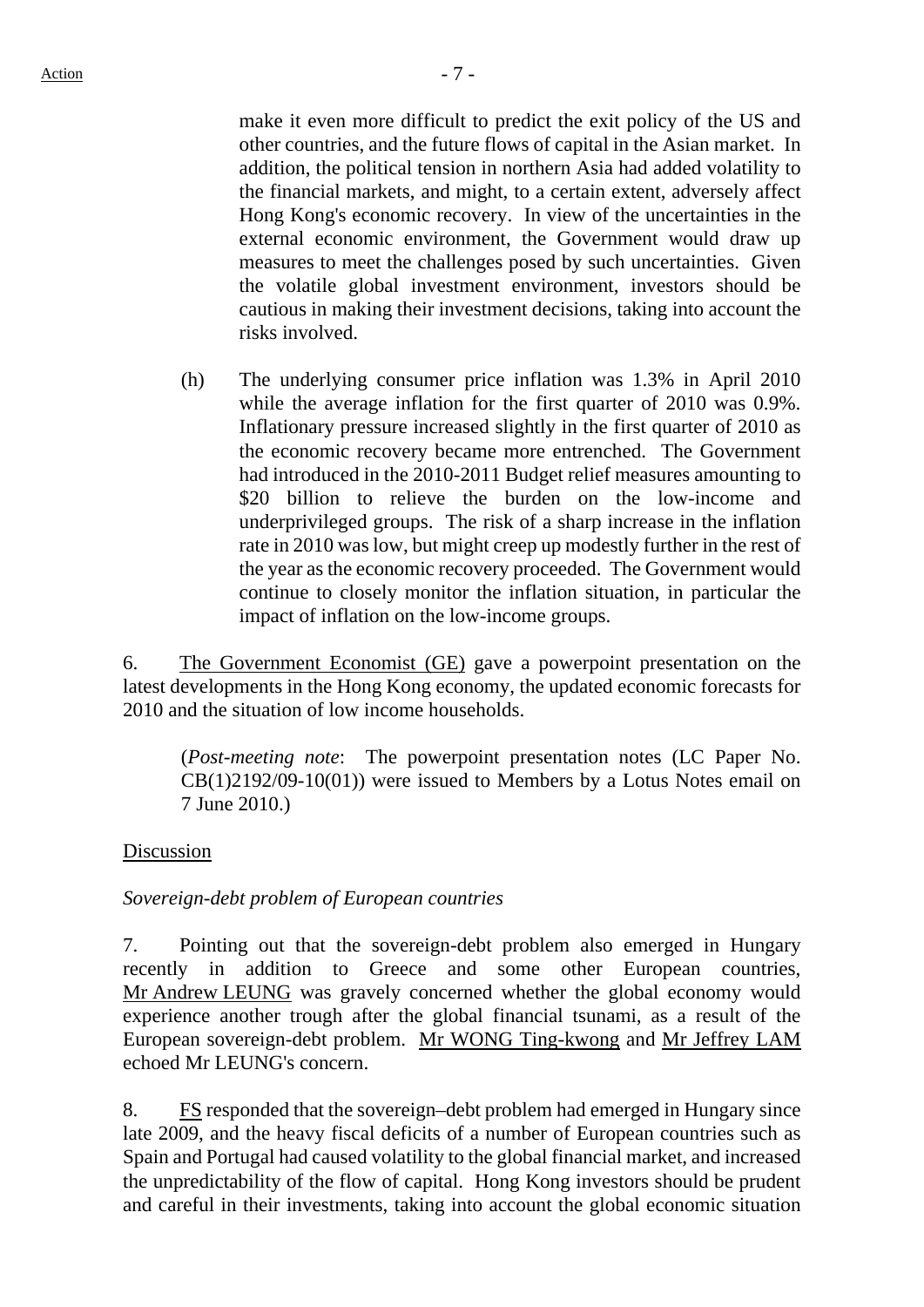make it even more difficult to predict the exit policy of the US and other countries, and the future flows of capital in the Asian market. In addition, the political tension in northern Asia had added volatility to the financial markets, and might, to a certain extent, adversely affect Hong Kong's economic recovery. In view of the uncertainties in the external economic environment, the Government would draw up measures to meet the challenges posed by such uncertainties. Given the volatile global investment environment, investors should be cautious in making their investment decisions, taking into account the risks involved.

(h) The underlying consumer price inflation was 1.3% in April 2010 while the average inflation for the first quarter of 2010 was 0.9%. Inflationary pressure increased slightly in the first quarter of 2010 as the economic recovery became more entrenched. The Government had introduced in the 2010-2011 Budget relief measures amounting to \$20 billion to relieve the burden on the low-income and underprivileged groups. The risk of a sharp increase in the inflation rate in 2010 was low, but might creep up modestly further in the rest of the year as the economic recovery proceeded. The Government would continue to closely monitor the inflation situation, in particular the impact of inflation on the low-income groups.

6. The Government Economist (GE) gave a powerpoint presentation on the latest developments in the Hong Kong economy, the updated economic forecasts for 2010 and the situation of low income households.

(*Post-meeting note*: The powerpoint presentation notes (LC Paper No.  $CB(1)2192/09-10(01)$  were issued to Members by a Lotus Notes email on 7 June 2010.)

#### Discussion

## *Sovereign-debt problem of European countries*

7. Pointing out that the sovereign-debt problem also emerged in Hungary recently in addition to Greece and some other European countries, Mr Andrew LEUNG was gravely concerned whether the global economy would experience another trough after the global financial tsunami, as a result of the European sovereign-debt problem. Mr WONG Ting-kwong and Mr Jeffrey LAM echoed Mr LEUNG's concern.

8. FS responded that the sovereign–debt problem had emerged in Hungary since late 2009, and the heavy fiscal deficits of a number of European countries such as Spain and Portugal had caused volatility to the global financial market, and increased the unpredictability of the flow of capital. Hong Kong investors should be prudent and careful in their investments, taking into account the global economic situation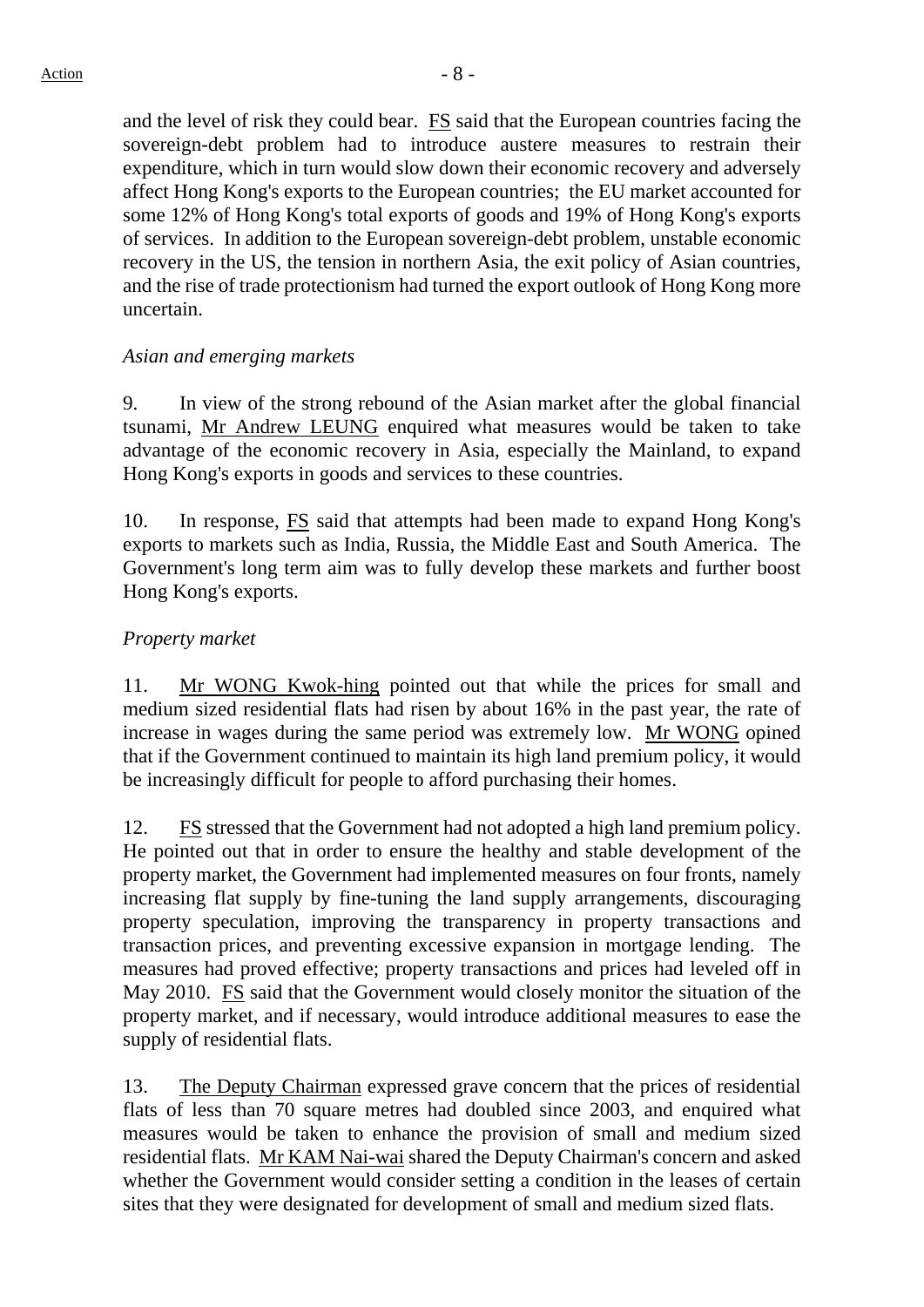and the level of risk they could bear. FS said that the European countries facing the sovereign-debt problem had to introduce austere measures to restrain their expenditure, which in turn would slow down their economic recovery and adversely affect Hong Kong's exports to the European countries; the EU market accounted for some 12% of Hong Kong's total exports of goods and 19% of Hong Kong's exports of services. In addition to the European sovereign-debt problem, unstable economic recovery in the US, the tension in northern Asia, the exit policy of Asian countries, and the rise of trade protectionism had turned the export outlook of Hong Kong more uncertain.

### *Asian and emerging markets*

9. In view of the strong rebound of the Asian market after the global financial tsunami, Mr Andrew LEUNG enquired what measures would be taken to take advantage of the economic recovery in Asia, especially the Mainland, to expand Hong Kong's exports in goods and services to these countries.

10. In response, FS said that attempts had been made to expand Hong Kong's exports to markets such as India, Russia, the Middle East and South America. The Government's long term aim was to fully develop these markets and further boost Hong Kong's exports.

### *Property market*

11. Mr WONG Kwok-hing pointed out that while the prices for small and medium sized residential flats had risen by about 16% in the past year, the rate of increase in wages during the same period was extremely low. Mr WONG opined that if the Government continued to maintain its high land premium policy, it would be increasingly difficult for people to afford purchasing their homes.

12. FS stressed that the Government had not adopted a high land premium policy. He pointed out that in order to ensure the healthy and stable development of the property market, the Government had implemented measures on four fronts, namely increasing flat supply by fine-tuning the land supply arrangements, discouraging property speculation, improving the transparency in property transactions and transaction prices, and preventing excessive expansion in mortgage lending. The measures had proved effective; property transactions and prices had leveled off in May 2010. FS said that the Government would closely monitor the situation of the property market, and if necessary, would introduce additional measures to ease the supply of residential flats.

13. The Deputy Chairman expressed grave concern that the prices of residential flats of less than 70 square metres had doubled since 2003, and enquired what measures would be taken to enhance the provision of small and medium sized residential flats. Mr KAM Nai-wai shared the Deputy Chairman's concern and asked whether the Government would consider setting a condition in the leases of certain sites that they were designated for development of small and medium sized flats.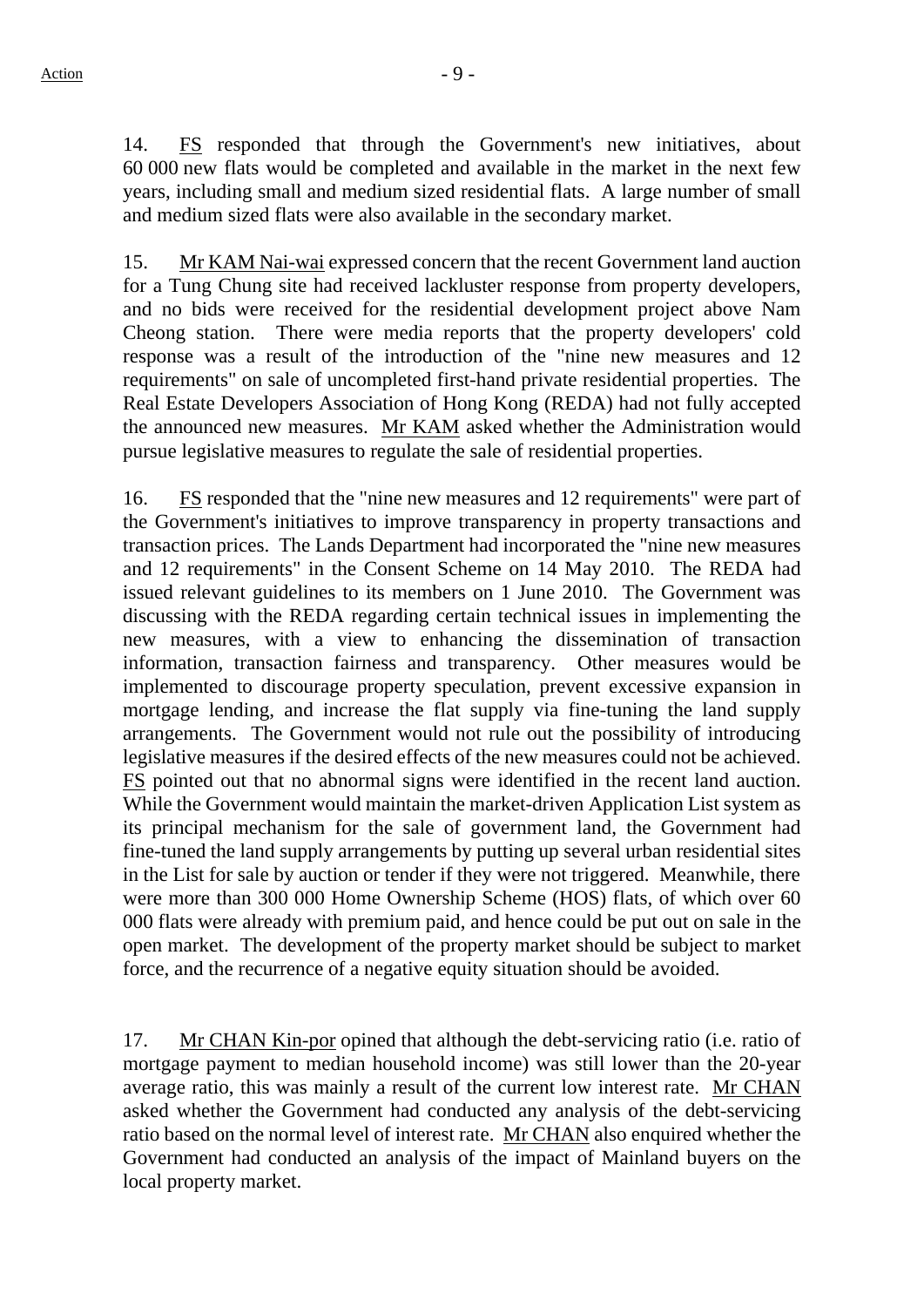14. FS responded that through the Government's new initiatives, about 60 000 new flats would be completed and available in the market in the next few years, including small and medium sized residential flats. A large number of small and medium sized flats were also available in the secondary market.

15. Mr KAM Nai-wai expressed concern that the recent Government land auction for a Tung Chung site had received lackluster response from property developers, and no bids were received for the residential development project above Nam Cheong station. There were media reports that the property developers' cold response was a result of the introduction of the "nine new measures and 12 requirements" on sale of uncompleted first-hand private residential properties. The Real Estate Developers Association of Hong Kong (REDA) had not fully accepted the announced new measures. Mr KAM asked whether the Administration would pursue legislative measures to regulate the sale of residential properties.

16. Follow FS responded that the "nine new measures and 12 requirements" were part of the Government's initiatives to improve transparency in property transactions and transaction prices. The Lands Department had incorporated the "nine new measures and 12 requirements" in the Consent Scheme on 14 May 2010. The REDA had issued relevant guidelines to its members on 1 June 2010. The Government was discussing with the REDA regarding certain technical issues in implementing the new measures, with a view to enhancing the dissemination of transaction information, transaction fairness and transparency. Other measures would be implemented to discourage property speculation, prevent excessive expansion in mortgage lending, and increase the flat supply via fine-tuning the land supply arrangements. The Government would not rule out the possibility of introducing legislative measures if the desired effects of the new measures could not be achieved. FS pointed out that no abnormal signs were identified in the recent land auction. While the Government would maintain the market-driven Application List system as its principal mechanism for the sale of government land, the Government had fine-tuned the land supply arrangements by putting up several urban residential sites in the List for sale by auction or tender if they were not triggered. Meanwhile, there were more than 300 000 Home Ownership Scheme (HOS) flats, of which over 60 000 flats were already with premium paid, and hence could be put out on sale in the open market. The development of the property market should be subject to market force, and the recurrence of a negative equity situation should be avoided.

17. Mr CHAN Kin-por opined that although the debt-servicing ratio (i.e. ratio of mortgage payment to median household income) was still lower than the 20-year average ratio, this was mainly a result of the current low interest rate. Mr CHAN asked whether the Government had conducted any analysis of the debt-servicing ratio based on the normal level of interest rate. Mr CHAN also enquired whether the Government had conducted an analysis of the impact of Mainland buyers on the local property market.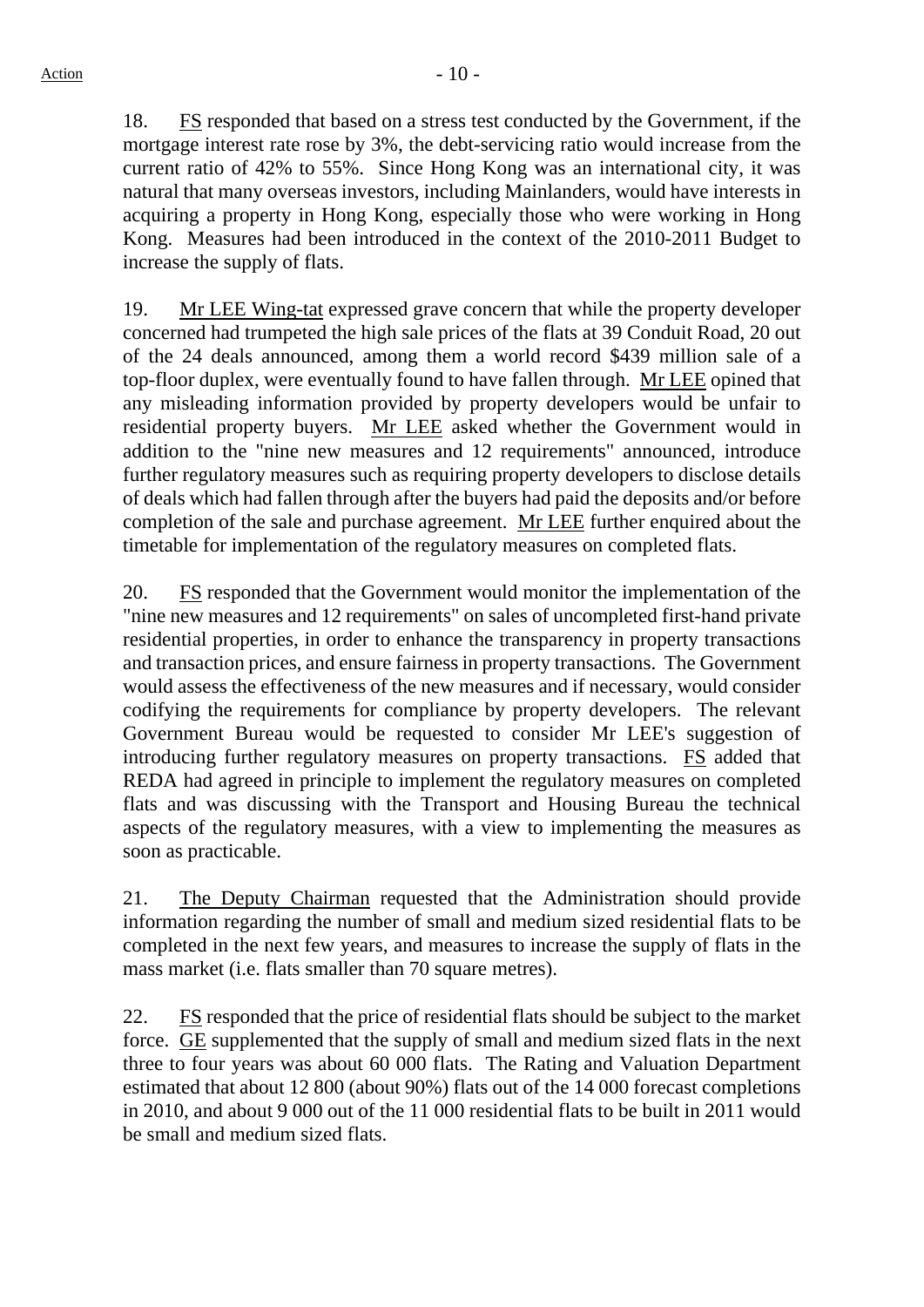18. FS responded that based on a stress test conducted by the Government, if the mortgage interest rate rose by 3%, the debt-servicing ratio would increase from the current ratio of 42% to 55%. Since Hong Kong was an international city, it was natural that many overseas investors, including Mainlanders, would have interests in acquiring a property in Hong Kong, especially those who were working in Hong Kong. Measures had been introduced in the context of the 2010-2011 Budget to increase the supply of flats.

19. Mr LEE Wing-tat expressed grave concern that while the property developer concerned had trumpeted the high sale prices of the flats at 39 Conduit Road, 20 out of the 24 deals announced, among them a world record \$439 million sale of a top-floor duplex, were eventually found to have fallen through. Mr LEE opined that any misleading information provided by property developers would be unfair to residential property buyers. Mr LEE asked whether the Government would in addition to the "nine new measures and 12 requirements" announced, introduce further regulatory measures such as requiring property developers to disclose details of deals which had fallen through after the buyers had paid the deposits and/or before completion of the sale and purchase agreement. Mr LEE further enquired about the timetable for implementation of the regulatory measures on completed flats.

20. FS responded that the Government would monitor the implementation of the "nine new measures and 12 requirements" on sales of uncompleted first-hand private residential properties, in order to enhance the transparency in property transactions and transaction prices, and ensure fairness in property transactions. The Government would assess the effectiveness of the new measures and if necessary, would consider codifying the requirements for compliance by property developers. The relevant Government Bureau would be requested to consider Mr LEE's suggestion of introducing further regulatory measures on property transactions. FS added that REDA had agreed in principle to implement the regulatory measures on completed flats and was discussing with the Transport and Housing Bureau the technical aspects of the regulatory measures, with a view to implementing the measures as soon as practicable.

21. The Deputy Chairman requested that the Administration should provide information regarding the number of small and medium sized residential flats to be completed in the next few years, and measures to increase the supply of flats in the mass market (i.e. flats smaller than 70 square metres).

22. FS responded that the price of residential flats should be subject to the market force. GE supplemented that the supply of small and medium sized flats in the next three to four years was about 60 000 flats. The Rating and Valuation Department estimated that about 12 800 (about 90%) flats out of the 14 000 forecast completions in 2010, and about 9 000 out of the 11 000 residential flats to be built in 2011 would be small and medium sized flats.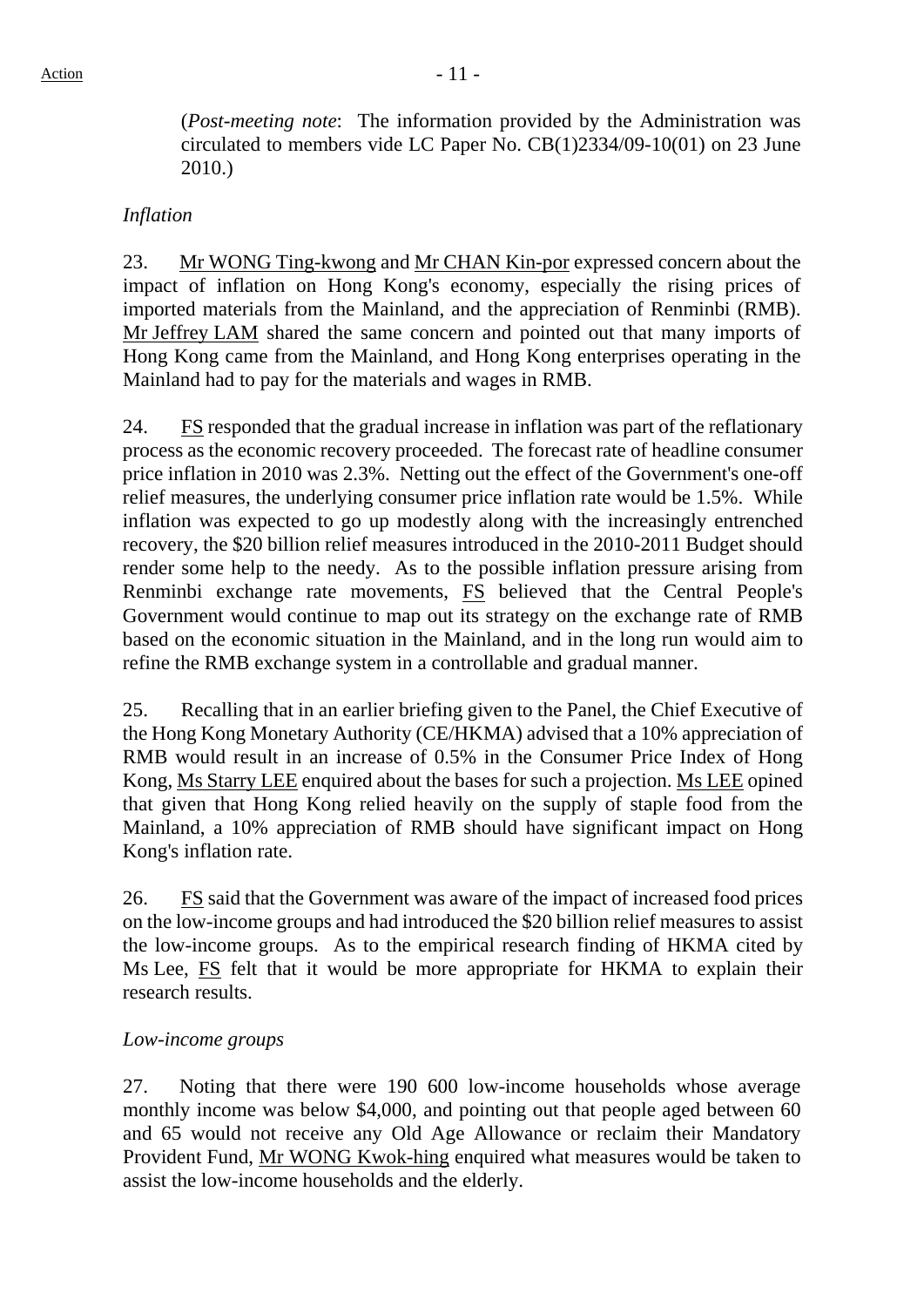(*Post-meeting note*: The information provided by the Administration was circulated to members vide LC Paper No. CB(1)2334/09-10(01) on 23 June 2010.)

### *Inflation*

23. Mr WONG Ting-kwong and Mr CHAN Kin-por expressed concern about the impact of inflation on Hong Kong's economy, especially the rising prices of imported materials from the Mainland, and the appreciation of Renminbi (RMB). Mr Jeffrey LAM shared the same concern and pointed out that many imports of Hong Kong came from the Mainland, and Hong Kong enterprises operating in the Mainland had to pay for the materials and wages in RMB.

24. FS responded that the gradual increase in inflation was part of the reflationary process as the economic recovery proceeded. The forecast rate of headline consumer price inflation in 2010 was 2.3%. Netting out the effect of the Government's one-off relief measures, the underlying consumer price inflation rate would be 1.5%. While inflation was expected to go up modestly along with the increasingly entrenched recovery, the \$20 billion relief measures introduced in the 2010-2011 Budget should render some help to the needy. As to the possible inflation pressure arising from Renminbi exchange rate movements, FS believed that the Central People's Government would continue to map out its strategy on the exchange rate of RMB based on the economic situation in the Mainland, and in the long run would aim to refine the RMB exchange system in a controllable and gradual manner.

25. Recalling that in an earlier briefing given to the Panel, the Chief Executive of the Hong Kong Monetary Authority (CE/HKMA) advised that a 10% appreciation of RMB would result in an increase of 0.5% in the Consumer Price Index of Hong Kong, Ms Starry LEE enquired about the bases for such a projection. Ms LEE opined that given that Hong Kong relied heavily on the supply of staple food from the Mainland, a 10% appreciation of RMB should have significant impact on Hong Kong's inflation rate.

26. FS said that the Government was aware of the impact of increased food prices on the low-income groups and had introduced the \$20 billion relief measures to assist the low-income groups. As to the empirical research finding of HKMA cited by Ms Lee, FS felt that it would be more appropriate for HKMA to explain their research results.

#### *Low-income groups*

27. Noting that there were 190 600 low-income households whose average monthly income was below \$4,000, and pointing out that people aged between 60 and 65 would not receive any Old Age Allowance or reclaim their Mandatory Provident Fund, Mr WONG Kwok-hing enquired what measures would be taken to assist the low-income households and the elderly.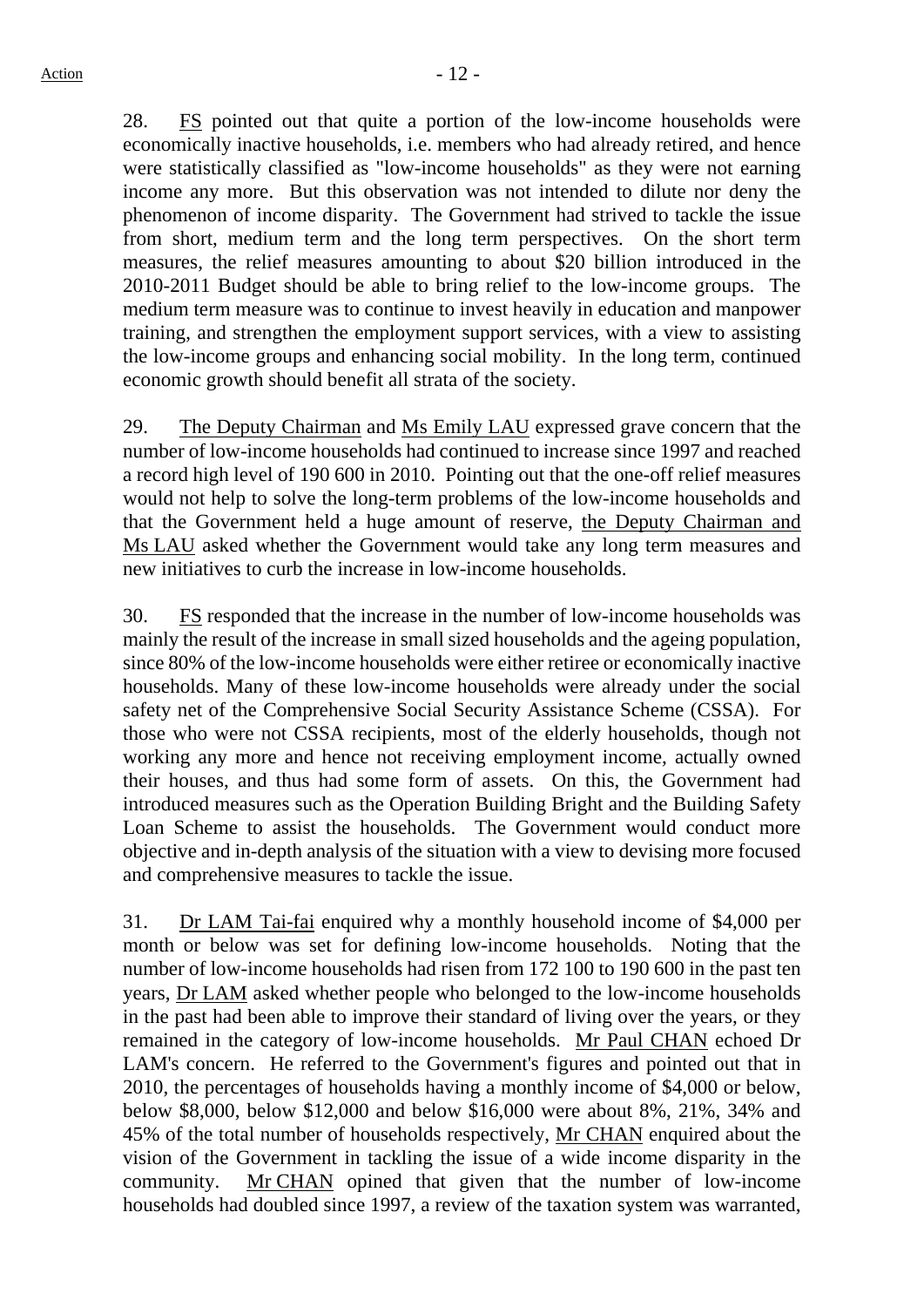28. FS pointed out that quite a portion of the low-income households were economically inactive households, i.e. members who had already retired, and hence were statistically classified as "low-income households" as they were not earning income any more. But this observation was not intended to dilute nor deny the phenomenon of income disparity. The Government had strived to tackle the issue from short, medium term and the long term perspectives. On the short term measures, the relief measures amounting to about \$20 billion introduced in the 2010-2011 Budget should be able to bring relief to the low-income groups. The medium term measure was to continue to invest heavily in education and manpower training, and strengthen the employment support services, with a view to assisting the low-income groups and enhancing social mobility. In the long term, continued economic growth should benefit all strata of the society.

29. The Deputy Chairman and Ms Emily LAU expressed grave concern that the number of low-income households had continued to increase since 1997 and reached a record high level of 190 600 in 2010. Pointing out that the one-off relief measures would not help to solve the long-term problems of the low-income households and that the Government held a huge amount of reserve, the Deputy Chairman and Ms LAU asked whether the Government would take any long term measures and new initiatives to curb the increase in low-income households.

30. FS responded that the increase in the number of low-income households was mainly the result of the increase in small sized households and the ageing population, since 80% of the low-income households were either retiree or economically inactive households. Many of these low-income households were already under the social safety net of the Comprehensive Social Security Assistance Scheme (CSSA). For those who were not CSSA recipients, most of the elderly households, though not working any more and hence not receiving employment income, actually owned their houses, and thus had some form of assets. On this, the Government had introduced measures such as the Operation Building Bright and the Building Safety Loan Scheme to assist the households. The Government would conduct more objective and in-depth analysis of the situation with a view to devising more focused and comprehensive measures to tackle the issue.

31. Dr LAM Tai-fai enquired why a monthly household income of \$4,000 per month or below was set for defining low-income households. Noting that the number of low-income households had risen from 172 100 to 190 600 in the past ten years, Dr LAM asked whether people who belonged to the low-income households in the past had been able to improve their standard of living over the years, or they remained in the category of low-income households. Mr Paul CHAN echoed Dr LAM's concern. He referred to the Government's figures and pointed out that in 2010, the percentages of households having a monthly income of \$4,000 or below, below \$8,000, below \$12,000 and below \$16,000 were about 8%, 21%, 34% and 45% of the total number of households respectively, Mr CHAN enquired about the vision of the Government in tackling the issue of a wide income disparity in the community. Mr CHAN opined that given that the number of low-income households had doubled since 1997, a review of the taxation system was warranted,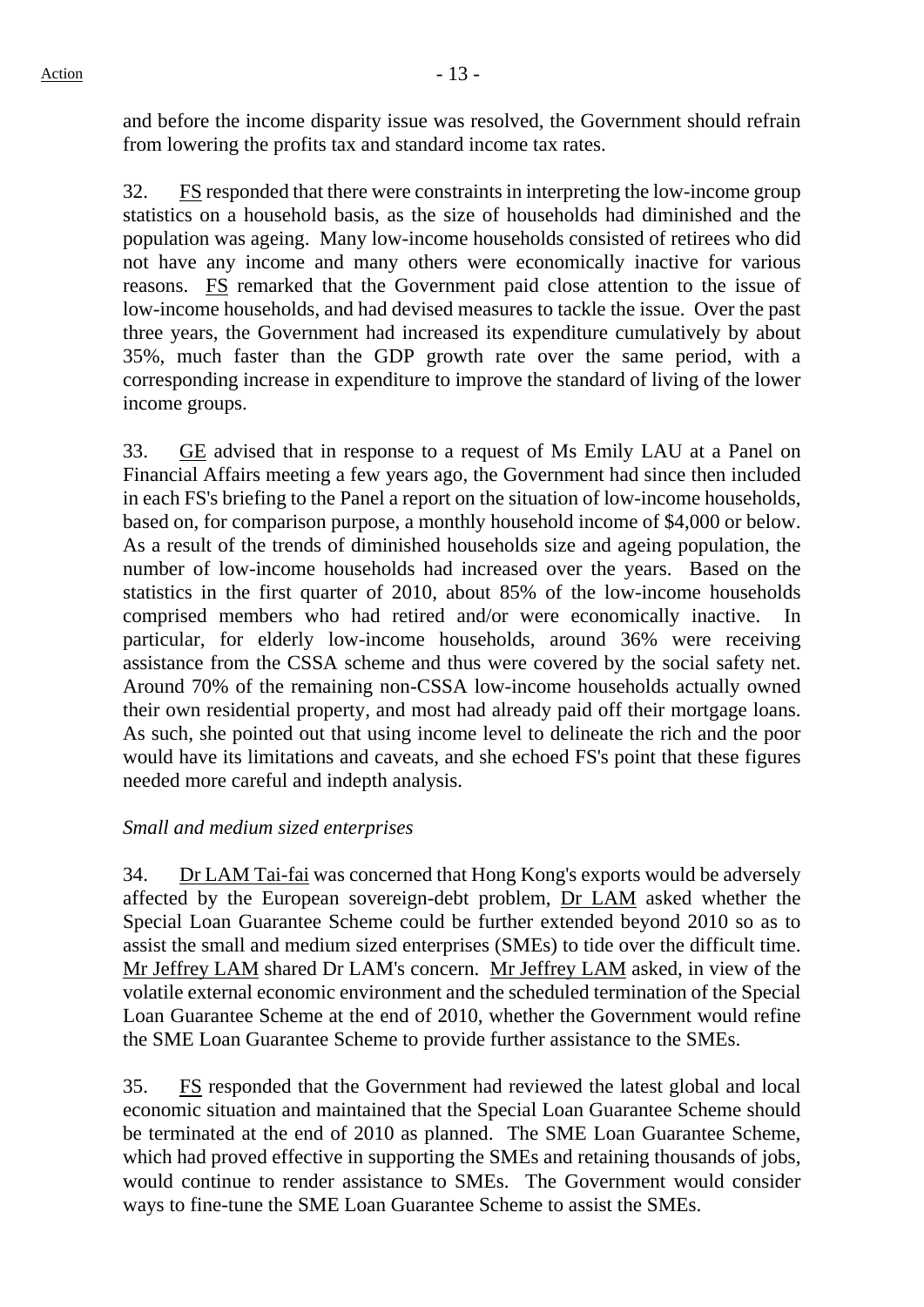and before the income disparity issue was resolved, the Government should refrain from lowering the profits tax and standard income tax rates.

32. FS responded that there were constraints in interpreting the low-income group statistics on a household basis, as the size of households had diminished and the population was ageing. Many low-income households consisted of retirees who did not have any income and many others were economically inactive for various reasons. FS remarked that the Government paid close attention to the issue of low-income households, and had devised measures to tackle the issue. Over the past three years, the Government had increased its expenditure cumulatively by about 35%, much faster than the GDP growth rate over the same period, with a corresponding increase in expenditure to improve the standard of living of the lower income groups.

33. GE advised that in response to a request of Ms Emily LAU at a Panel on Financial Affairs meeting a few years ago, the Government had since then included in each FS's briefing to the Panel a report on the situation of low-income households, based on, for comparison purpose, a monthly household income of \$4,000 or below. As a result of the trends of diminished households size and ageing population, the number of low-income households had increased over the years. Based on the statistics in the first quarter of 2010, about 85% of the low-income households comprised members who had retired and/or were economically inactive. In particular, for elderly low-income households, around 36% were receiving assistance from the CSSA scheme and thus were covered by the social safety net. Around 70% of the remaining non-CSSA low-income households actually owned their own residential property, and most had already paid off their mortgage loans. As such, she pointed out that using income level to delineate the rich and the poor would have its limitations and caveats, and she echoed FS's point that these figures needed more careful and indepth analysis.

## *Small and medium sized enterprises*

34. Dr LAM Tai-fai was concerned that Hong Kong's exports would be adversely affected by the European sovereign-debt problem, Dr LAM asked whether the Special Loan Guarantee Scheme could be further extended beyond 2010 so as to assist the small and medium sized enterprises (SMEs) to tide over the difficult time. Mr Jeffrey LAM shared Dr LAM's concern. Mr Jeffrey LAM asked, in view of the volatile external economic environment and the scheduled termination of the Special Loan Guarantee Scheme at the end of 2010, whether the Government would refine the SME Loan Guarantee Scheme to provide further assistance to the SMEs.

35. FS responded that the Government had reviewed the latest global and local economic situation and maintained that the Special Loan Guarantee Scheme should be terminated at the end of 2010 as planned. The SME Loan Guarantee Scheme, which had proved effective in supporting the SMEs and retaining thousands of jobs, would continue to render assistance to SMEs. The Government would consider ways to fine-tune the SME Loan Guarantee Scheme to assist the SMEs.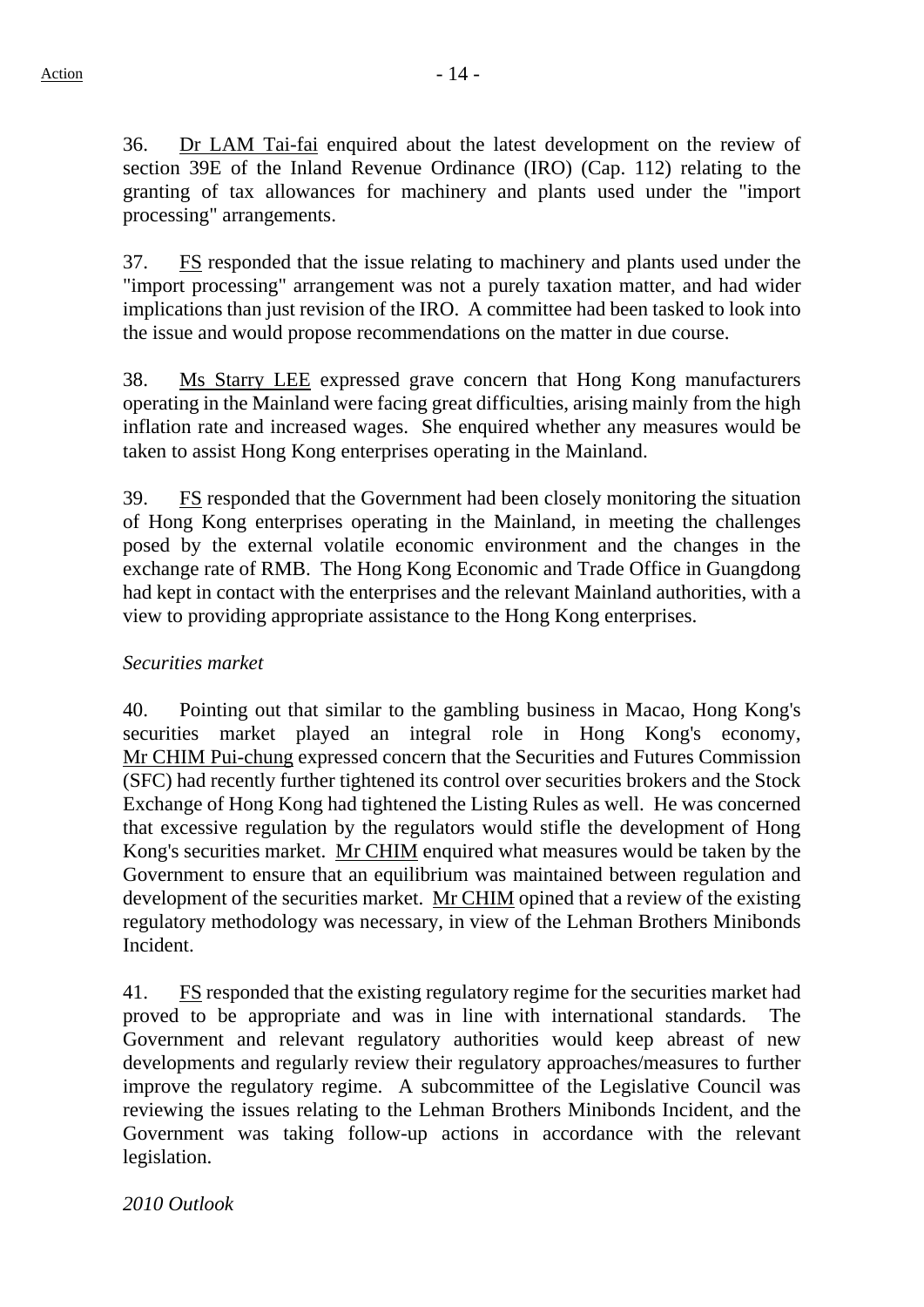36. Dr LAM Tai-fai enquired about the latest development on the review of section 39E of the Inland Revenue Ordinance (IRO) (Cap. 112) relating to the granting of tax allowances for machinery and plants used under the "import processing" arrangements.

37. FS responded that the issue relating to machinery and plants used under the "import processing" arrangement was not a purely taxation matter, and had wider implications than just revision of the IRO. A committee had been tasked to look into the issue and would propose recommendations on the matter in due course.

38. Ms Starry LEE expressed grave concern that Hong Kong manufacturers operating in the Mainland were facing great difficulties, arising mainly from the high inflation rate and increased wages. She enquired whether any measures would be taken to assist Hong Kong enterprises operating in the Mainland.

39. FS responded that the Government had been closely monitoring the situation of Hong Kong enterprises operating in the Mainland, in meeting the challenges posed by the external volatile economic environment and the changes in the exchange rate of RMB. The Hong Kong Economic and Trade Office in Guangdong had kept in contact with the enterprises and the relevant Mainland authorities, with a view to providing appropriate assistance to the Hong Kong enterprises.

## *Securities market*

40. Pointing out that similar to the gambling business in Macao, Hong Kong's securities market played an integral role in Hong Kong's economy, Mr CHIM Pui-chung expressed concern that the Securities and Futures Commission (SFC) had recently further tightened its control over securities brokers and the Stock Exchange of Hong Kong had tightened the Listing Rules as well. He was concerned that excessive regulation by the regulators would stifle the development of Hong Kong's securities market. Mr CHIM enquired what measures would be taken by the Government to ensure that an equilibrium was maintained between regulation and development of the securities market. Mr CHIM opined that a review of the existing regulatory methodology was necessary, in view of the Lehman Brothers Minibonds Incident.

41. FS responded that the existing regulatory regime for the securities market had proved to be appropriate and was in line with international standards. The Government and relevant regulatory authorities would keep abreast of new developments and regularly review their regulatory approaches/measures to further improve the regulatory regime. A subcommittee of the Legislative Council was reviewing the issues relating to the Lehman Brothers Minibonds Incident, and the Government was taking follow-up actions in accordance with the relevant legislation.

*2010 Outlook*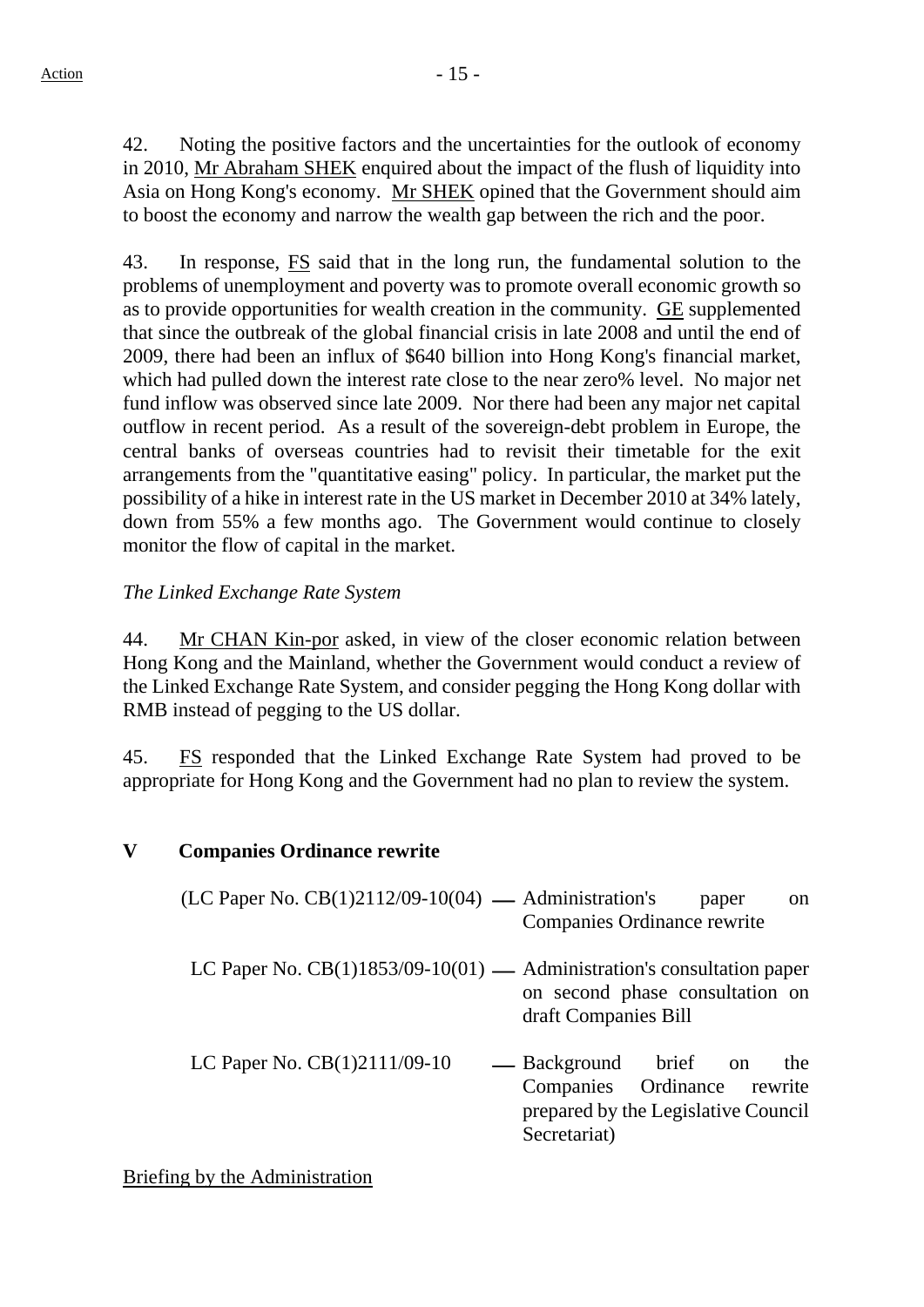42. Noting the positive factors and the uncertainties for the outlook of economy in 2010, Mr Abraham SHEK enquired about the impact of the flush of liquidity into Asia on Hong Kong's economy. Mr SHEK opined that the Government should aim to boost the economy and narrow the wealth gap between the rich and the poor.

43. In response, FS said that in the long run, the fundamental solution to the problems of unemployment and poverty was to promote overall economic growth so as to provide opportunities for wealth creation in the community. GE supplemented that since the outbreak of the global financial crisis in late 2008 and until the end of 2009, there had been an influx of \$640 billion into Hong Kong's financial market, which had pulled down the interest rate close to the near zero% level. No major net fund inflow was observed since late 2009. Nor there had been any major net capital outflow in recent period. As a result of the sovereign-debt problem in Europe, the central banks of overseas countries had to revisit their timetable for the exit arrangements from the "quantitative easing" policy. In particular, the market put the possibility of a hike in interest rate in the US market in December 2010 at 34% lately, down from 55% a few months ago. The Government would continue to closely monitor the flow of capital in the market.

### *The Linked Exchange Rate System*

44. Mr CHAN Kin-por asked, in view of the closer economic relation between Hong Kong and the Mainland, whether the Government would conduct a review of the Linked Exchange Rate System, and consider pegging the Hong Kong dollar with RMB instead of pegging to the US dollar.

45. FS responded that the Linked Exchange Rate System had proved to be appropriate for Hong Kong and the Government had no plan to review the system.

#### **V Companies Ordinance rewrite**

| (LC Paper No. $CB(1)2112/09-10(04)$ — Administration's                   | paper<br><sub>on</sub><br>Companies Ordinance rewrite                                                              |
|--------------------------------------------------------------------------|--------------------------------------------------------------------------------------------------------------------|
| LC Paper No. $CB(1)1853/09-10(01)$ — Administration's consultation paper | on second phase consultation on<br>draft Companies Bill                                                            |
| LC Paper No. CB(1)2111/09-10                                             | — Background brief on<br>the<br>Companies Ordinance rewrite<br>prepared by the Legislative Council<br>Secretariat) |

#### Briefing by the Administration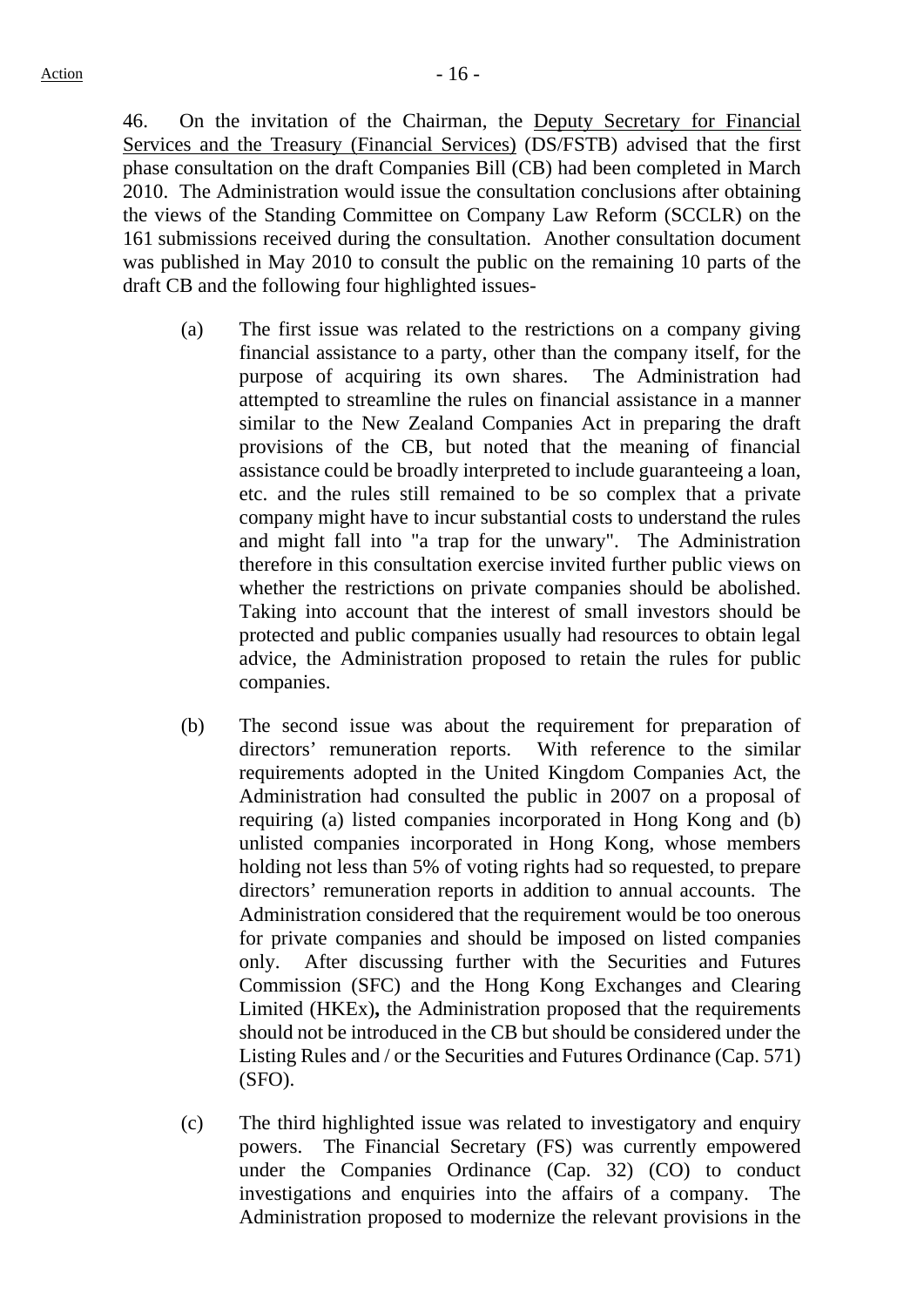46. On the invitation of the Chairman, the Deputy Secretary for Financial Services and the Treasury (Financial Services) (DS/FSTB) advised that the first phase consultation on the draft Companies Bill (CB) had been completed in March 2010. The Administration would issue the consultation conclusions after obtaining the views of the Standing Committee on Company Law Reform (SCCLR) on the 161 submissions received during the consultation. Another consultation document was published in May 2010 to consult the public on the remaining 10 parts of the draft CB and the following four highlighted issues-

- (a) The first issue was related to the restrictions on a company giving financial assistance to a party, other than the company itself, for the purpose of acquiring its own shares. The Administration had attempted to streamline the rules on financial assistance in a manner similar to the New Zealand Companies Act in preparing the draft provisions of the CB, but noted that the meaning of financial assistance could be broadly interpreted to include guaranteeing a loan, etc. and the rules still remained to be so complex that a private company might have to incur substantial costs to understand the rules and might fall into "a trap for the unwary". The Administration therefore in this consultation exercise invited further public views on whether the restrictions on private companies should be abolished. Taking into account that the interest of small investors should be protected and public companies usually had resources to obtain legal advice, the Administration proposed to retain the rules for public companies.
- (b) The second issue was about the requirement for preparation of directors' remuneration reports. With reference to the similar requirements adopted in the United Kingdom Companies Act, the Administration had consulted the public in 2007 on a proposal of requiring (a) listed companies incorporated in Hong Kong and (b) unlisted companies incorporated in Hong Kong, whose members holding not less than 5% of voting rights had so requested, to prepare directors' remuneration reports in addition to annual accounts. The Administration considered that the requirement would be too onerous for private companies and should be imposed on listed companies only. After discussing further with the Securities and Futures Commission (SFC) and the Hong Kong Exchanges and Clearing Limited (HKEx)**,** the Administration proposed that the requirements should not be introduced in the CB but should be considered under the Listing Rules and / or the Securities and Futures Ordinance (Cap. 571) (SFO).
- (c) The third highlighted issue was related to investigatory and enquiry powers. The Financial Secretary (FS) was currently empowered under the Companies Ordinance (Cap. 32) (CO) to conduct investigations and enquiries into the affairs of a company. The Administration proposed to modernize the relevant provisions in the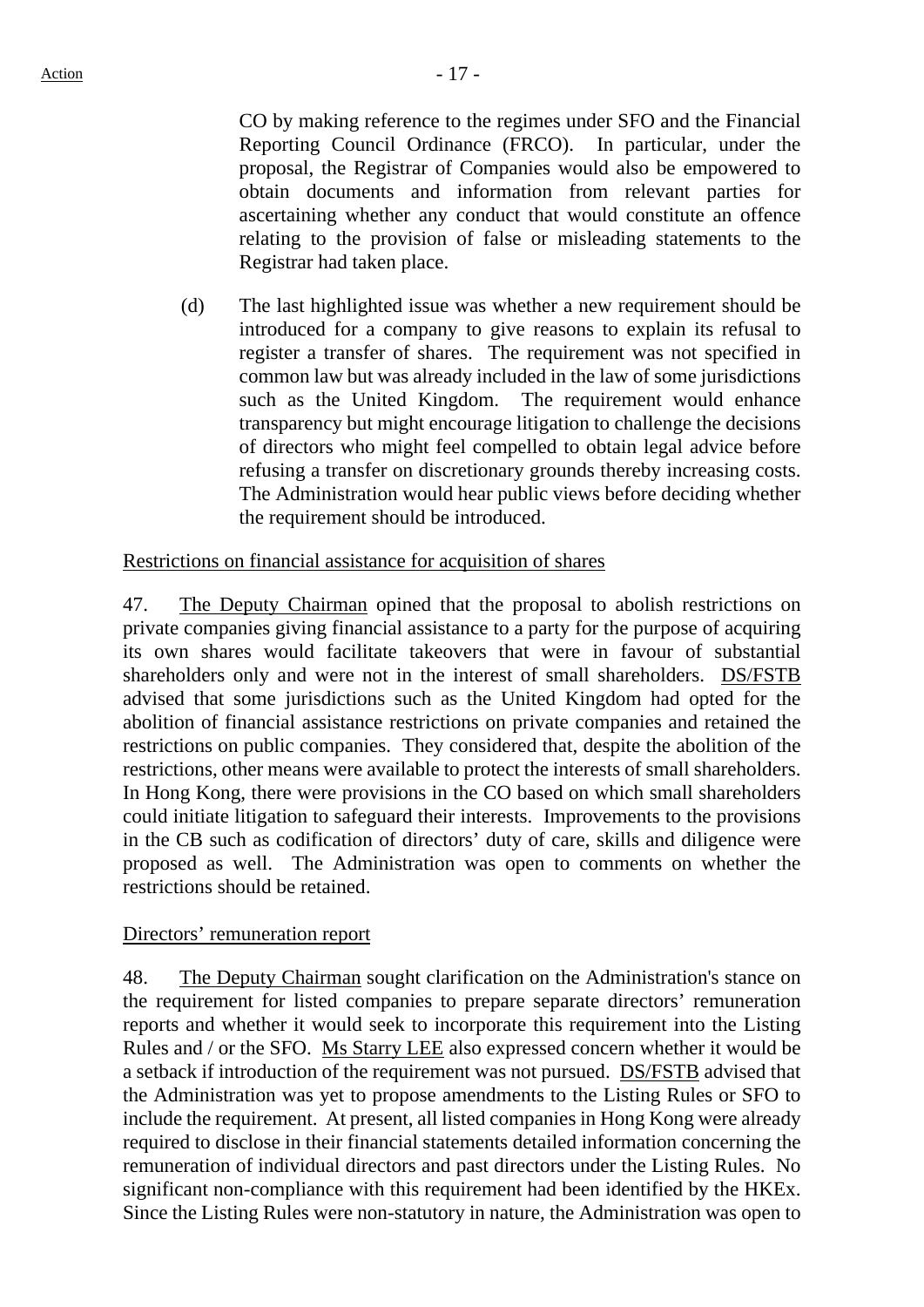CO by making reference to the regimes under SFO and the Financial Reporting Council Ordinance (FRCO). In particular, under the proposal, the Registrar of Companies would also be empowered to obtain documents and information from relevant parties for ascertaining whether any conduct that would constitute an offence relating to the provision of false or misleading statements to the Registrar had taken place.

(d) The last highlighted issue was whether a new requirement should be introduced for a company to give reasons to explain its refusal to register a transfer of shares. The requirement was not specified in common law but was already included in the law of some jurisdictions such as the United Kingdom. The requirement would enhance transparency but might encourage litigation to challenge the decisions of directors who might feel compelled to obtain legal advice before refusing a transfer on discretionary grounds thereby increasing costs. The Administration would hear public views before deciding whether the requirement should be introduced.

### Restrictions on financial assistance for acquisition of shares

47. The Deputy Chairman opined that the proposal to abolish restrictions on private companies giving financial assistance to a party for the purpose of acquiring its own shares would facilitate takeovers that were in favour of substantial shareholders only and were not in the interest of small shareholders. DS/FSTB advised that some jurisdictions such as the United Kingdom had opted for the abolition of financial assistance restrictions on private companies and retained the restrictions on public companies. They considered that, despite the abolition of the restrictions, other means were available to protect the interests of small shareholders. In Hong Kong, there were provisions in the CO based on which small shareholders could initiate litigation to safeguard their interests. Improvements to the provisions in the CB such as codification of directors' duty of care, skills and diligence were proposed as well. The Administration was open to comments on whether the restrictions should be retained.

#### Directors' remuneration report

48. The Deputy Chairman sought clarification on the Administration's stance on the requirement for listed companies to prepare separate directors' remuneration reports and whether it would seek to incorporate this requirement into the Listing Rules and / or the SFO. Ms Starry LEE also expressed concern whether it would be a setback if introduction of the requirement was not pursued. DS/FSTB advised that the Administration was yet to propose amendments to the Listing Rules or SFO to include the requirement. At present, all listed companies in Hong Kong were already required to disclose in their financial statements detailed information concerning the remuneration of individual directors and past directors under the Listing Rules. No significant non-compliance with this requirement had been identified by the HKEx. Since the Listing Rules were non-statutory in nature, the Administration was open to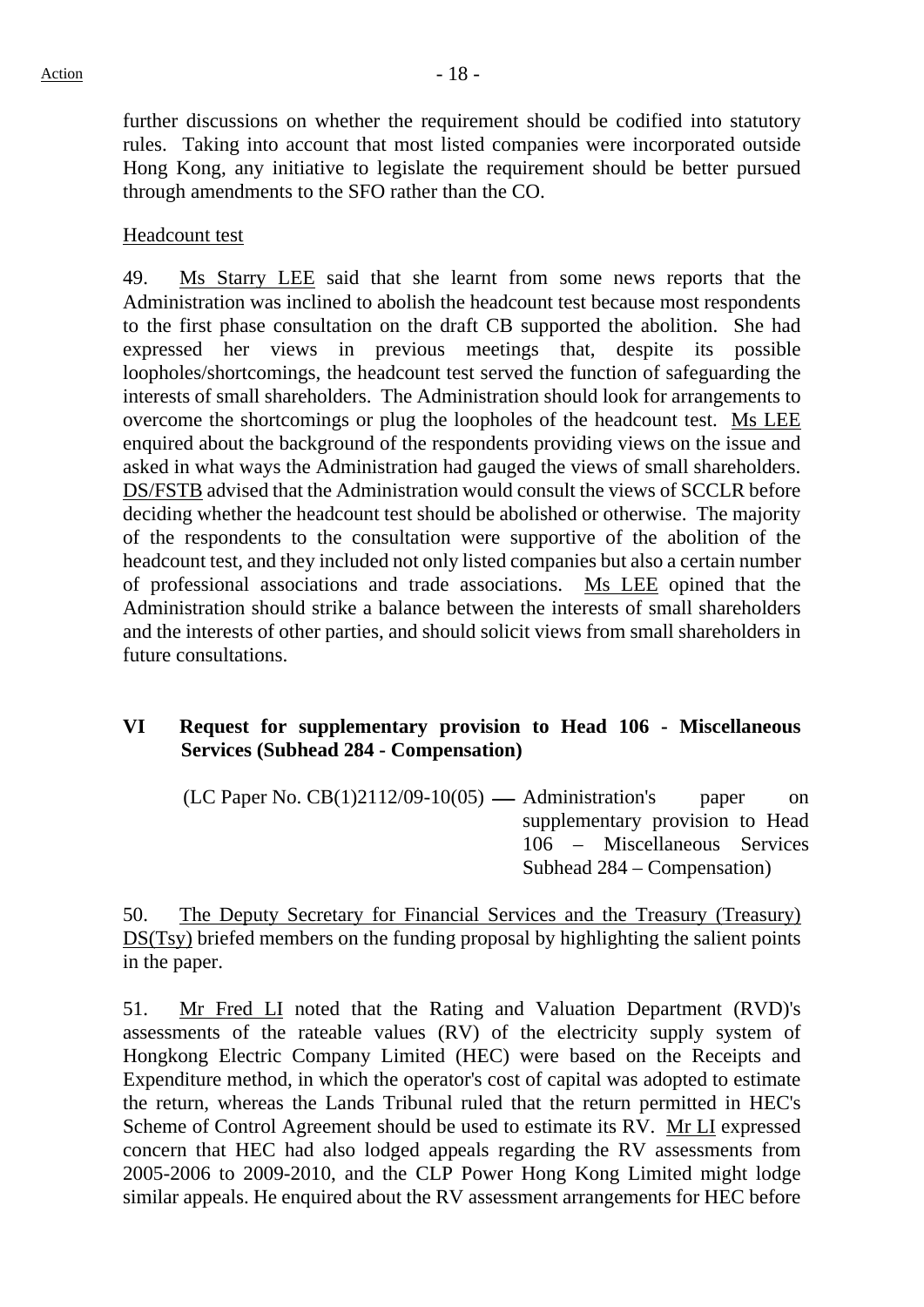further discussions on whether the requirement should be codified into statutory rules. Taking into account that most listed companies were incorporated outside Hong Kong, any initiative to legislate the requirement should be better pursued through amendments to the SFO rather than the CO.

#### Headcount test

49. Ms Starry LEE said that she learnt from some news reports that the Administration was inclined to abolish the headcount test because most respondents to the first phase consultation on the draft CB supported the abolition. She had expressed her views in previous meetings that, despite its possible loopholes/shortcomings, the headcount test served the function of safeguarding the interests of small shareholders. The Administration should look for arrangements to overcome the shortcomings or plug the loopholes of the headcount test. Ms LEE enquired about the background of the respondents providing views on the issue and asked in what ways the Administration had gauged the views of small shareholders. DS/FSTB advised that the Administration would consult the views of SCCLR before deciding whether the headcount test should be abolished or otherwise. The majority of the respondents to the consultation were supportive of the abolition of the headcount test, and they included not only listed companies but also a certain number of professional associations and trade associations. Ms LEE opined that the Administration should strike a balance between the interests of small shareholders and the interests of other parties, and should solicit views from small shareholders in future consultations.

## **VI Request for supplementary provision to Head 106 - Miscellaneous Services (Subhead 284 - Compensation)**

 $(LC$  Paper No.  $CB(1)2112/09-10(05)$  — Administration's paper on supplementary provision to Head 106 – Miscellaneous Services Subhead 284 – Compensation)

50. The Deputy Secretary for Financial Services and the Treasury (Treasury) DS(Tsy) briefed members on the funding proposal by highlighting the salient points in the paper.

51. Mr Fred LI noted that the Rating and Valuation Department (RVD)'s assessments of the rateable values (RV) of the electricity supply system of Hongkong Electric Company Limited (HEC) were based on the Receipts and Expenditure method, in which the operator's cost of capital was adopted to estimate the return, whereas the Lands Tribunal ruled that the return permitted in HEC's Scheme of Control Agreement should be used to estimate its RV. Mr LI expressed concern that HEC had also lodged appeals regarding the RV assessments from 2005-2006 to 2009-2010, and the CLP Power Hong Kong Limited might lodge similar appeals. He enquired about the RV assessment arrangements for HEC before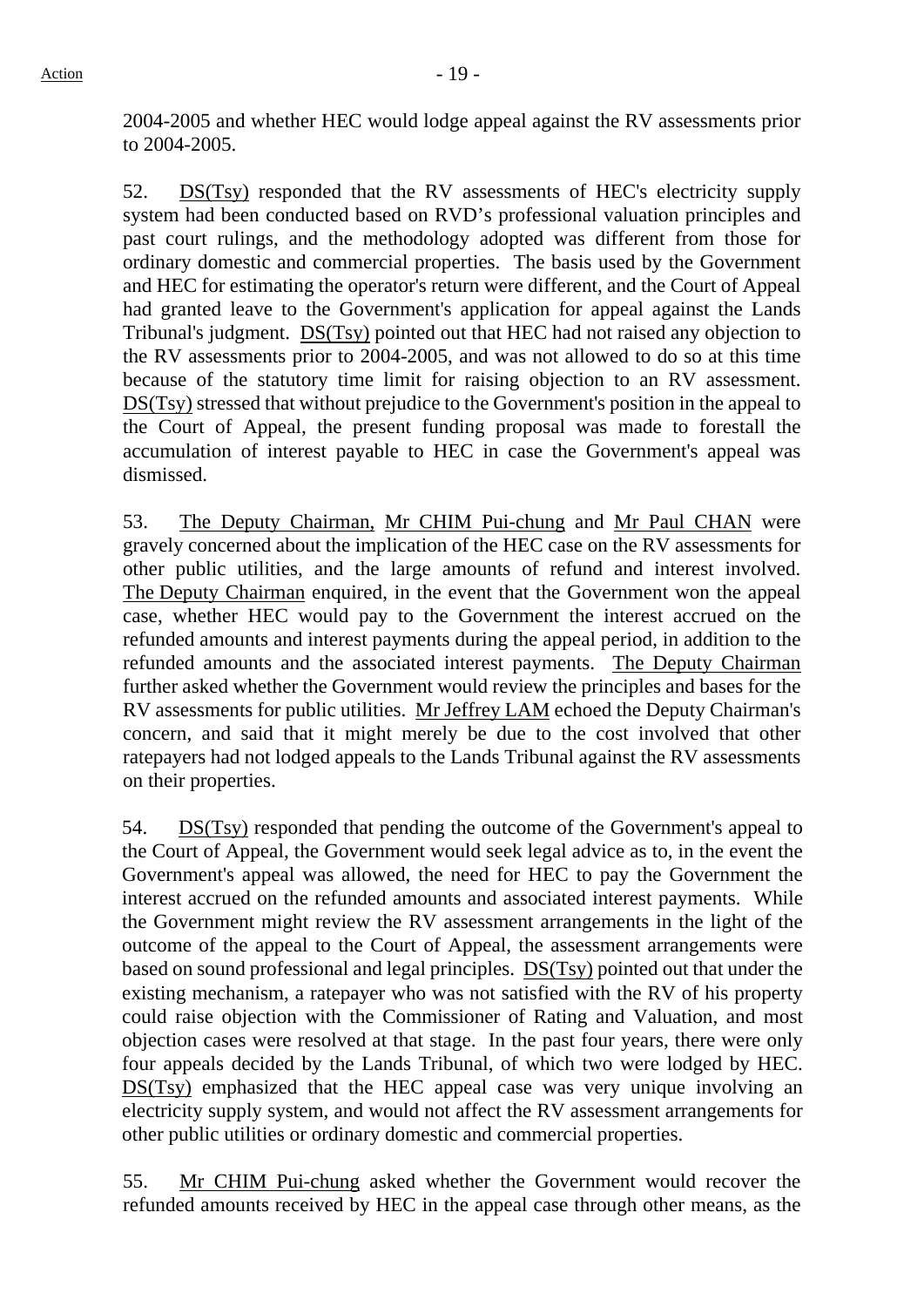2004-2005 and whether HEC would lodge appeal against the RV assessments prior to 2004-2005.

52. DS(Tsy) responded that the RV assessments of HEC's electricity supply system had been conducted based on RVD's professional valuation principles and past court rulings, and the methodology adopted was different from those for ordinary domestic and commercial properties. The basis used by the Government and HEC for estimating the operator's return were different, and the Court of Appeal had granted leave to the Government's application for appeal against the Lands Tribunal's judgment. DS(Tsy) pointed out that HEC had not raised any objection to the RV assessments prior to 2004-2005, and was not allowed to do so at this time because of the statutory time limit for raising objection to an RV assessment. DS(Tsy) stressed that without prejudice to the Government's position in the appeal to the Court of Appeal, the present funding proposal was made to forestall the accumulation of interest payable to HEC in case the Government's appeal was dismissed.

53. The Deputy Chairman, Mr CHIM Pui-chung and Mr Paul CHAN were gravely concerned about the implication of the HEC case on the RV assessments for other public utilities, and the large amounts of refund and interest involved. The Deputy Chairman enquired, in the event that the Government won the appeal case, whether HEC would pay to the Government the interest accrued on the refunded amounts and interest payments during the appeal period, in addition to the refunded amounts and the associated interest payments. The Deputy Chairman further asked whether the Government would review the principles and bases for the RV assessments for public utilities. Mr Jeffrey LAM echoed the Deputy Chairman's concern, and said that it might merely be due to the cost involved that other ratepayers had not lodged appeals to the Lands Tribunal against the RV assessments on their properties.

54. DS(Tsy) responded that pending the outcome of the Government's appeal to the Court of Appeal, the Government would seek legal advice as to, in the event the Government's appeal was allowed, the need for HEC to pay the Government the interest accrued on the refunded amounts and associated interest payments. While the Government might review the RV assessment arrangements in the light of the outcome of the appeal to the Court of Appeal, the assessment arrangements were based on sound professional and legal principles. DS(Tsy) pointed out that under the existing mechanism, a ratepayer who was not satisfied with the RV of his property could raise objection with the Commissioner of Rating and Valuation, and most objection cases were resolved at that stage. In the past four years, there were only four appeals decided by the Lands Tribunal, of which two were lodged by HEC. DS(Tsy) emphasized that the HEC appeal case was very unique involving an electricity supply system, and would not affect the RV assessment arrangements for other public utilities or ordinary domestic and commercial properties.

55. Mr CHIM Pui-chung asked whether the Government would recover the refunded amounts received by HEC in the appeal case through other means, as the